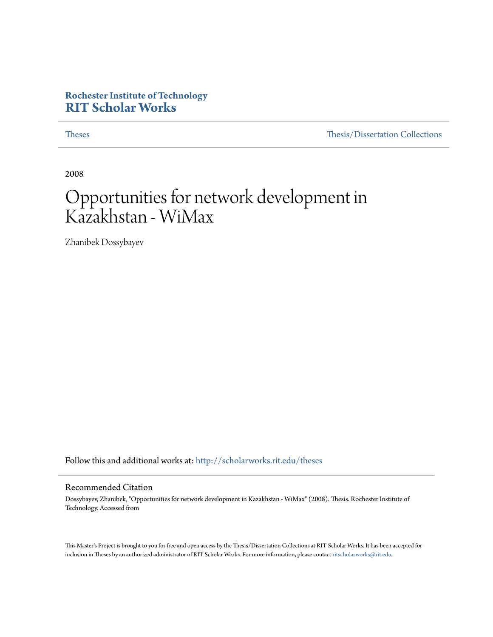# **Rochester Institute of Technology [RIT Scholar Works](http://scholarworks.rit.edu?utm_source=scholarworks.rit.edu%2Ftheses%2F454&utm_medium=PDF&utm_campaign=PDFCoverPages)**

[Theses](http://scholarworks.rit.edu/theses?utm_source=scholarworks.rit.edu%2Ftheses%2F454&utm_medium=PDF&utm_campaign=PDFCoverPages) [Thesis/Dissertation Collections](http://scholarworks.rit.edu/etd_collections?utm_source=scholarworks.rit.edu%2Ftheses%2F454&utm_medium=PDF&utm_campaign=PDFCoverPages)

2008

# Opportunities for network development in Kazakhstan - WiMax

Zhanibek Dossybayev

Follow this and additional works at: [http://scholarworks.rit.edu/theses](http://scholarworks.rit.edu/theses?utm_source=scholarworks.rit.edu%2Ftheses%2F454&utm_medium=PDF&utm_campaign=PDFCoverPages)

#### Recommended Citation

Dossybayev, Zhanibek, "Opportunities for network development in Kazakhstan - WiMax" (2008). Thesis. Rochester Institute of Technology. Accessed from

This Master's Project is brought to you for free and open access by the Thesis/Dissertation Collections at RIT Scholar Works. It has been accepted for inclusion in Theses by an authorized administrator of RIT Scholar Works. For more information, please contact [ritscholarworks@rit.edu](mailto:ritscholarworks@rit.edu).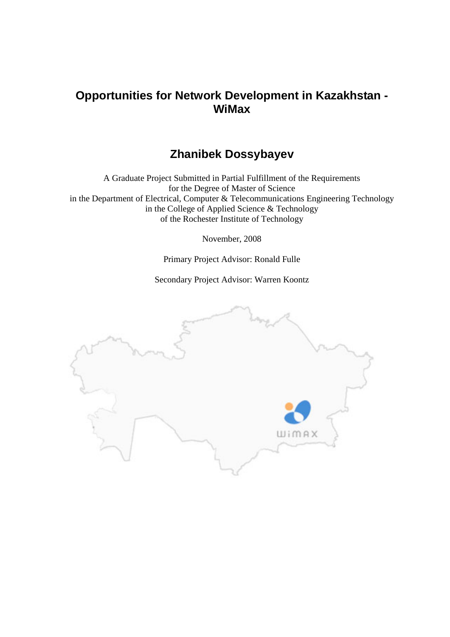# **Opportunities for Network Development in Kazakhstan - WiMax**

# **Zhanibek Dossybayev**

A Graduate Project Submitted in Partial Fulfillment of the Requirements for the Degree of Master of Science in the Department of Electrical, Computer & Telecommunications Engineering Technology in the College of Applied Science & Technology of the Rochester Institute of Technology

November, 2008

Primary Project Advisor: Ronald Fulle

Secondary Project Advisor: Warren Koontz

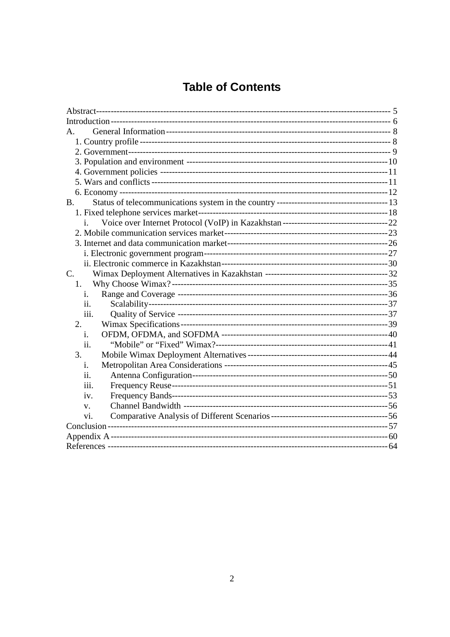# **Table of Contents**

| $\mathsf{A}$   |  |
|----------------|--|
|                |  |
|                |  |
|                |  |
|                |  |
|                |  |
|                |  |
| B <sub>1</sub> |  |
|                |  |
| i.             |  |
|                |  |
|                |  |
|                |  |
|                |  |
| $C_{\cdot}$    |  |
| 1.             |  |
| i.             |  |
| i1.            |  |
| iii.           |  |
| 2.             |  |
| i.             |  |
| ii.            |  |
| 3.             |  |
| 1.             |  |
| ii.            |  |
| iii.           |  |
| iv.            |  |
| V.             |  |
| vi.            |  |
|                |  |
|                |  |
|                |  |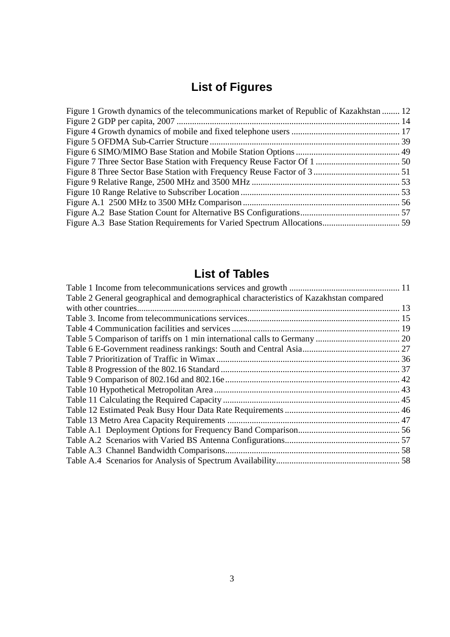# **List of Figures**

| Figure 1 Growth dynamics of the telecommunications market of Republic of Kazakhstan  12 |  |
|-----------------------------------------------------------------------------------------|--|
|                                                                                         |  |
|                                                                                         |  |
|                                                                                         |  |
|                                                                                         |  |
|                                                                                         |  |
|                                                                                         |  |
|                                                                                         |  |
|                                                                                         |  |
|                                                                                         |  |
|                                                                                         |  |
|                                                                                         |  |

# **List of Tables**

| Table 2 General geographical and demographical characteristics of Kazakhstan compared |  |
|---------------------------------------------------------------------------------------|--|
|                                                                                       |  |
|                                                                                       |  |
|                                                                                       |  |
|                                                                                       |  |
|                                                                                       |  |
|                                                                                       |  |
|                                                                                       |  |
|                                                                                       |  |
|                                                                                       |  |
|                                                                                       |  |
|                                                                                       |  |
|                                                                                       |  |
|                                                                                       |  |
|                                                                                       |  |
|                                                                                       |  |
|                                                                                       |  |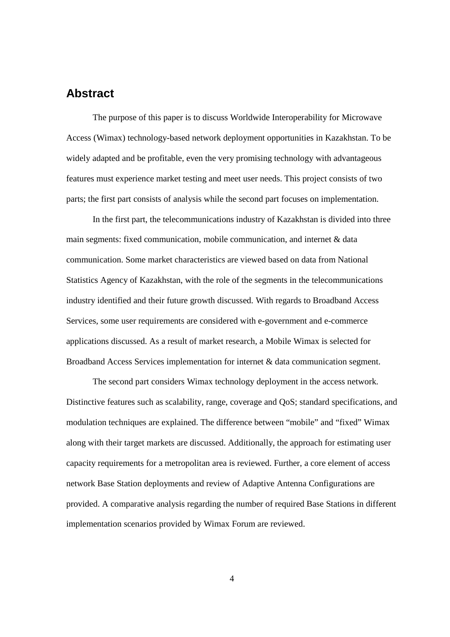# **Abstract**

The purpose of this paper is to discuss Worldwide Interoperability for Microwave Access (Wimax) technology-based network deployment opportunities in Kazakhstan. To be widely adapted and be profitable, even the very promising technology with advantageous features must experience market testing and meet user needs. This project consists of two parts; the first part consists of analysis while the second part focuses on implementation.

In the first part, the telecommunications industry of Kazakhstan is divided into three main segments: fixed communication, mobile communication, and internet & data communication. Some market characteristics are viewed based on data from National Statistics Agency of Kazakhstan, with the role of the segments in the telecommunications industry identified and their future growth discussed. With regards to Broadband Access Services, some user requirements are considered with e-government and e-commerce applications discussed. As a result of market research, a Mobile Wimax is selected for Broadband Access Services implementation for internet & data communication segment.

The second part considers Wimax technology deployment in the access network. Distinctive features such as scalability, range, coverage and QoS; standard specifications, and modulation techniques are explained. The difference between "mobile" and "fixed" Wimax along with their target markets are discussed. Additionally, the approach for estimating user capacity requirements for a metropolitan area is reviewed. Further, a core element of access network Base Station deployments and review of Adaptive Antenna Configurations are provided. A comparative analysis regarding the number of required Base Stations in different implementation scenarios provided by Wimax Forum are reviewed.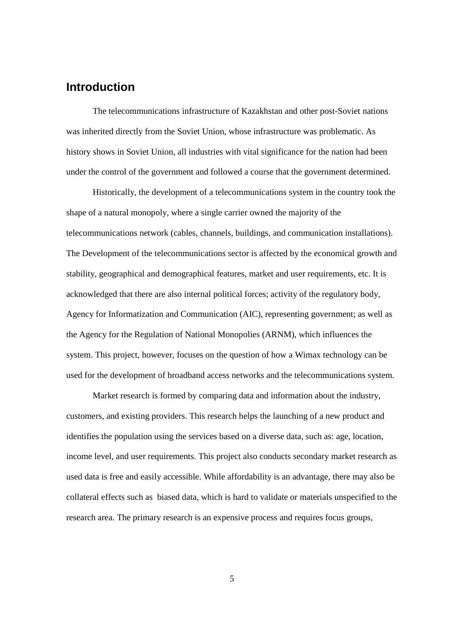# **Introduction**

The telecommunications infrastructure of Kazakhstan and other post-Soviet nations was inherited directly from the Soviet Union, whose infrastructure was problematic. As history shows in Soviet Union, all industries with vital significance for the nation had been under the control of the government and followed a course that the government determined.

Historically, the development of a telecommunications system in the country took the shape of a natural monopoly, where a single carrier owned the majority of the telecommunications network (cables, channels, buildings, and communication installations). The Development of the telecommunications sector is affected by the economical growth and stability, geographical and demographical features, market and user requirements, etc. It is acknowledged that there are also internal political forces; activity of the regulatory body, Agency for Informatization and Communication (AIC), representing government; as well as the Agency for the Regulation of National Monopolies (ARNM), which influences the system. This project, however, focuses on the question of how a Wimax technology can be used for the development of broadband access networks and the telecommunications system.

Market research is formed by comparing data and information about the industry, customers, and existing providers. This research helps the launching of a new product and identifies the population using the services based on a diverse data, such as: age, location, income level, and user requirements. This project also conducts secondary market research as used data is free and easily accessible. While affordability is an advantage, there may also be collateral effects such as biased data, which is hard to validate or materials unspecified to the research area. The primary research is an expensive process and requires focus groups,

5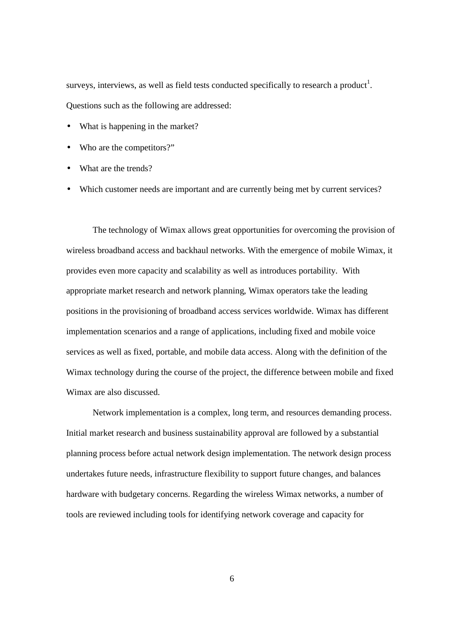surveys, interviews, as well as field tests conducted specifically to research a product<sup>1</sup>. Questions such as the following are addressed:

- What is happening in the market?
- Who are the competitors?"
- What are the trends?
- Which customer needs are important and are currently being met by current services?

The technology of Wimax allows great opportunities for overcoming the provision of wireless broadband access and backhaul networks. With the emergence of mobile Wimax, it provides even more capacity and scalability as well as introduces portability. With appropriate market research and network planning, Wimax operators take the leading positions in the provisioning of broadband access services worldwide. Wimax has different implementation scenarios and a range of applications, including fixed and mobile voice services as well as fixed, portable, and mobile data access. Along with the definition of the Wimax technology during the course of the project, the difference between mobile and fixed Wimax are also discussed.

Network implementation is a complex, long term, and resources demanding process. Initial market research and business sustainability approval are followed by a substantial planning process before actual network design implementation. The network design process undertakes future needs, infrastructure flexibility to support future changes, and balances hardware with budgetary concerns. Regarding the wireless Wimax networks, a number of tools are reviewed including tools for identifying network coverage and capacity for

6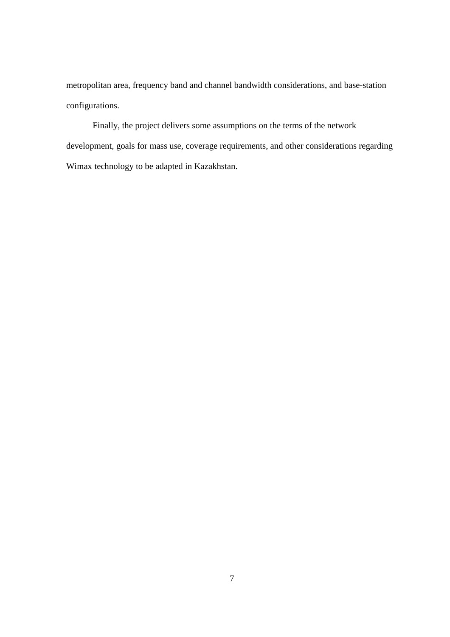metropolitan area, frequency band and channel bandwidth considerations, and base-station configurations.

Finally, the project delivers some assumptions on the terms of the network development, goals for mass use, coverage requirements, and other considerations regarding Wimax technology to be adapted in Kazakhstan.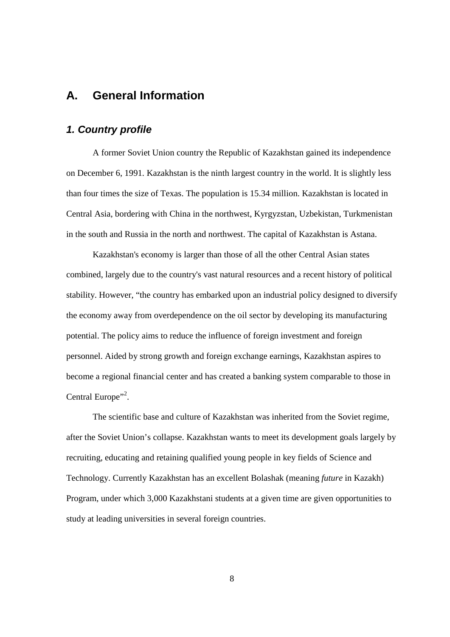# **A. General Information**

# **1. Country profile**

A former Soviet Union country the Republic of Kazakhstan gained its independence on December 6, 1991. Kazakhstan is the ninth largest country in the world. It is slightly less than four times the size of Texas. The population is 15.34 million. Kazakhstan is located in Central Asia, bordering with China in the northwest, Kyrgyzstan, Uzbekistan, Turkmenistan in the south and Russia in the north and northwest. The capital of Kazakhstan is Astana.

Kazakhstan's economy is larger than those of all the other Central Asian states combined, largely due to the country's vast natural resources and a recent history of political stability. However, "the country has embarked upon an industrial policy designed to diversify the economy away from overdependence on the oil sector by developing its manufacturing potential. The policy aims to reduce the influence of foreign investment and foreign personnel. Aided by strong growth and foreign exchange earnings, Kazakhstan aspires to become a regional financial center and has created a banking system comparable to those in Central Europe"<sup>2</sup>.

The scientific base and culture of Kazakhstan was inherited from the Soviet regime, after the Soviet Union's collapse. Kazakhstan wants to meet its development goals largely by recruiting, educating and retaining qualified young people in key fields of Science and Technology. Currently Kazakhstan has an excellent Bolashak (meaning *future* in Kazakh) Program, under which 3,000 Kazakhstani students at a given time are given opportunities to study at leading universities in several foreign countries.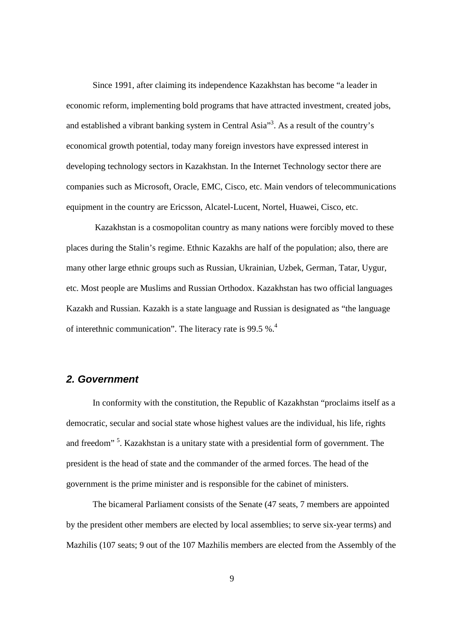Since 1991, after claiming its independence Kazakhstan has become "a leader in economic reform, implementing bold programs that have attracted investment, created jobs, and established a vibrant banking system in Central Asia"<sup>3</sup>. As a result of the country's economical growth potential, today many foreign investors have expressed interest in developing technology sectors in Kazakhstan. In the Internet Technology sector there are companies such as Microsoft, Oracle, EMC, Cisco, etc. Main vendors of telecommunications equipment in the country are Ericsson, Alcatel-Lucent, Nortel, Huawei, Cisco, etc.

 Kazakhstan is a cosmopolitan country as many nations were forcibly moved to these places during the Stalin's regime. Ethnic Kazakhs are half of the population; also, there are many other large ethnic groups such as Russian, Ukrainian, Uzbek, German, Tatar, Uygur, etc. Most people are Muslims and Russian Orthodox. Kazakhstan has two official languages Kazakh and Russian. Kazakh is a state language and Russian is designated as "the language of interethnic communication". The literacy rate is 99.5 %.<sup>4</sup>

# **2. Government**

In conformity with the constitution, the Republic of Kazakhstan "proclaims itself as a democratic, secular and social state whose highest values are the individual, his life, rights and freedom"<sup>5</sup>. Kazakhstan is a unitary state with a presidential form of government. The president is the head of state and the commander of the armed forces. The head of the government is the prime minister and is responsible for the cabinet of ministers.

The bicameral Parliament consists of the Senate (47 seats, 7 members are appointed by the president other members are elected by local assemblies; to serve six-year terms) and Mazhilis (107 seats; 9 out of the 107 Mazhilis members are elected from the Assembly of the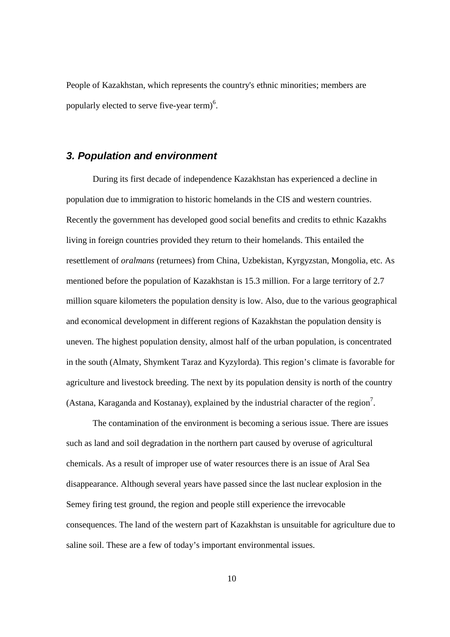People of Kazakhstan, which represents the country's ethnic minorities; members are popularly elected to serve five-year term) $<sup>6</sup>$ .</sup>

# **3. Population and environment**

During its first decade of independence Kazakhstan has experienced a decline in population due to immigration to historic homelands in the CIS and western countries. Recently the government has developed good social benefits and credits to ethnic Kazakhs living in foreign countries provided they return to their homelands. This entailed the resettlement of *oralmans* (returnees) from China, Uzbekistan, Kyrgyzstan, Mongolia, etc. As mentioned before the population of Kazakhstan is 15.3 million. For a large territory of 2.7 million square kilometers the population density is low. Also, due to the various geographical and economical development in different regions of Kazakhstan the population density is uneven. The highest population density, almost half of the urban population, is concentrated in the south (Almaty, Shymkent Taraz and Kyzylorda). This region's climate is favorable for agriculture and livestock breeding. The next by its population density is north of the country (Astana, Karaganda and Kostanay), explained by the industrial character of the region<sup>7</sup>.

The contamination of the environment is becoming a serious issue. There are issues such as land and soil degradation in the northern part caused by overuse of agricultural chemicals. As a result of improper use of water resources there is an issue of Aral Sea disappearance. Although several years have passed since the last nuclear explosion in the Semey firing test ground, the region and people still experience the irrevocable consequences. The land of the western part of Kazakhstan is unsuitable for agriculture due to saline soil. These are a few of today's important environmental issues.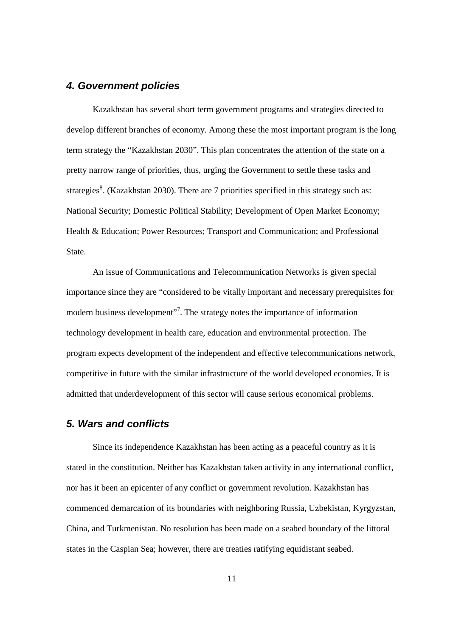### **4. Government policies**

Kazakhstan has several short term government programs and strategies directed to develop different branches of economy. Among these the most important program is the long term strategy the "Kazakhstan 2030". This plan concentrates the attention of the state on a pretty narrow range of priorities, thus, urging the Government to settle these tasks and strategies<sup>8</sup>. (Kazakhstan 2030). There are 7 priorities specified in this strategy such as: National Security; Domestic Political Stability; Development of Open Market Economy; Health & Education; Power Resources; Transport and Communication; and Professional State.

An issue of Communications and Telecommunication Networks is given special importance since they are "considered to be vitally important and necessary prerequisites for modern business development"<sup>7</sup>. The strategy notes the importance of information technology development in health care, education and environmental protection. The program expects development of the independent and effective telecommunications network, competitive in future with the similar infrastructure of the world developed economies. It is admitted that underdevelopment of this sector will cause serious economical problems.

# **5. Wars and conflicts**

Since its independence Kazakhstan has been acting as a peaceful country as it is stated in the constitution. Neither has Kazakhstan taken activity in any international conflict, nor has it been an epicenter of any conflict or government revolution. Kazakhstan has commenced demarcation of its boundaries with neighboring Russia, Uzbekistan, Kyrgyzstan, China, and Turkmenistan. No resolution has been made on a seabed boundary of the littoral states in the Caspian Sea; however, there are treaties ratifying equidistant seabed.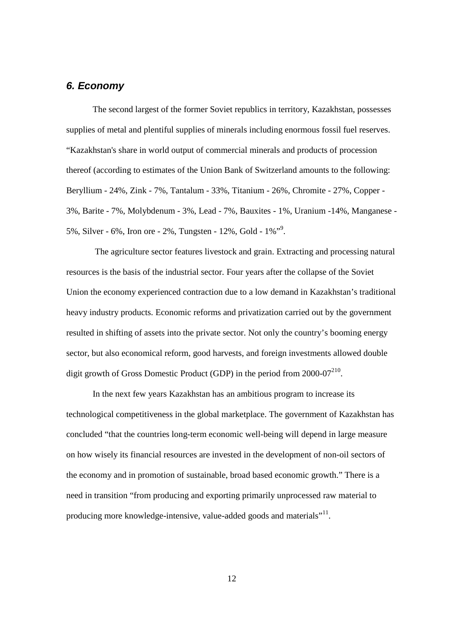# **6. Economy**

The second largest of the former Soviet republics in territory, Kazakhstan, possesses supplies of metal and plentiful supplies of minerals including enormous fossil fuel reserves. "Kazakhstan's share in world output of commercial minerals and products of procession thereof (according to estimates of the Union Bank of Switzerland amounts to the following: Beryllium - 24%, Zink - 7%, Tantalum - 33%, Titanium - 26%, Chromite - 27%, Copper - 3%, Barite - 7%, Molybdenum - 3%, Lead - 7%, Bauxites - 1%, Uranium -14%, Manganese - 5%, Silver - 6%, Iron ore - 2%, Tungsten - 12%, Gold - 1%"<sup>9</sup>.

 The agriculture sector features livestock and grain. Extracting and processing natural resources is the basis of the industrial sector. Four years after the collapse of the Soviet Union the economy experienced contraction due to a low demand in Kazakhstan's traditional heavy industry products. Economic reforms and privatization carried out by the government resulted in shifting of assets into the private sector. Not only the country's booming energy sector, but also economical reform, good harvests, and foreign investments allowed double digit growth of Gross Domestic Product (GDP) in the period from  $2000-07^{210}$ .

In the next few years Kazakhstan has an ambitious program to increase its technological competitiveness in the global marketplace. The government of Kazakhstan has concluded "that the countries long-term economic well-being will depend in large measure on how wisely its financial resources are invested in the development of non-oil sectors of the economy and in promotion of sustainable, broad based economic growth." There is a need in transition "from producing and exporting primarily unprocessed raw material to producing more knowledge-intensive, value-added goods and materials"<sup>11</sup>.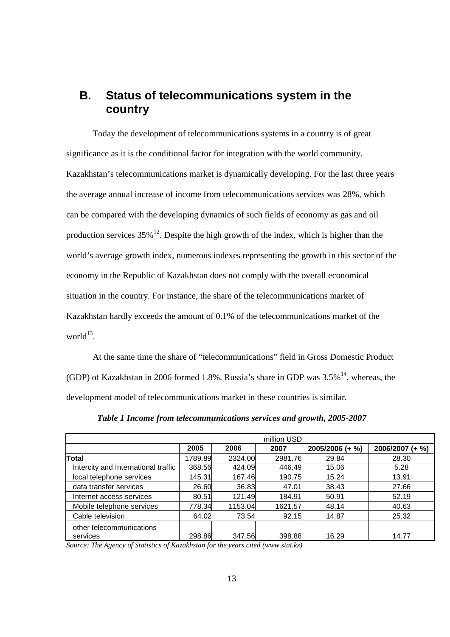# **B. Status of telecommunications system in the country**

Today the development of telecommunications systems in a country is of great significance as it is the conditional factor for integration with the world community. Kazakhstan's telecommunications market is dynamically developing. For the last three years the average annual increase of income from telecommunications services was 28%, which can be compared with the developing dynamics of such fields of economy as gas and oil production services  $35\%$ <sup>12</sup>. Despite the high growth of the index, which is higher than the world's average growth index, numerous indexes representing the growth in this sector of the economy in the Republic of Kazakhstan does not comply with the overall economical situation in the country. For instance, the share of the telecommunications market of Kazakhstan hardly exceeds the amount of 0.1% of the telecommunications market of the world $^{13}$ .

At the same time the share of "telecommunications" field in Gross Domestic Product (GDP) of Kazakhstan in 2006 formed 1.8%. Russia's share in GDP was  $3.5\%$ <sup>14</sup>, whereas, the development model of telecommunications market in these countries is similar.

| million USD                          |         |         |         |                 |                 |  |  |
|--------------------------------------|---------|---------|---------|-----------------|-----------------|--|--|
|                                      | 2005    | 2006    | 2007    | 2005/2006 (+ %) | 2006/2007 (+ %) |  |  |
| Total                                | 1789.89 | 2324.00 | 2981.76 | 29.84           | 28.30           |  |  |
| Intercity and International traffic  | 368.56  | 424.09  | 446.49  | 15.06           | 5.28            |  |  |
| local telephone services             | 145.31  | 167.46  | 190.75  | 15.24           | 13.91           |  |  |
| data transfer services               | 26.60   | 36.83   | 47.01   | 38.43           | 27.66           |  |  |
| Internet access services             | 80.51   | 121.49  | 184.91  | 50.91           | 52.19           |  |  |
| Mobile telephone services            | 778.34  | 1153.04 | 1621.57 | 48.14           | 40.63           |  |  |
| Cable television                     | 64.02   | 73.54   | 92.15   | 14.87           | 25.32           |  |  |
| other telecommunications<br>services | 298.86  | 347.56  | 398.88  | 16.29           | 14.77           |  |  |

*Table 1 Income from telecommunications services and growth, 2005-2007* 

*Source: The Agency of Statistics of Kazakhstan for the years cited (www.stat.kz)*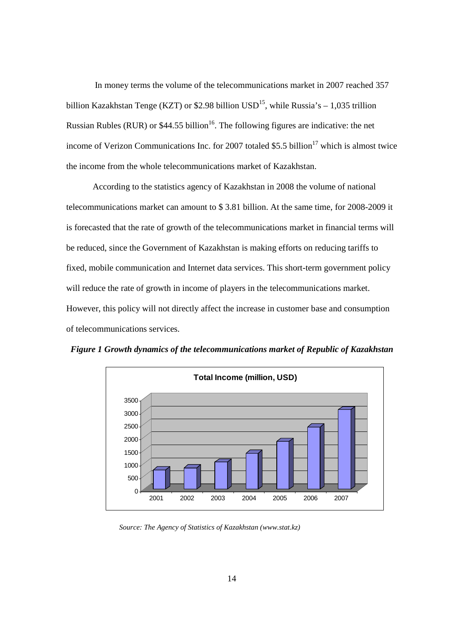In money terms the volume of the telecommunications market in 2007 reached 357 billion Kazakhstan Tenge (KZT) or \$2.98 billion  $USD^{15}$ , while Russia's  $-1.035$  trillion Russian Rubles (RUR) or \$44.55 billion<sup>16</sup>. The following figures are indicative: the net income of Verizon Communications Inc. for 2007 totaled \$5.5 billion<sup>17</sup> which is almost twice the income from the whole telecommunications market of Kazakhstan.

According to the statistics agency of Kazakhstan in 2008 the volume of national telecommunications market can amount to \$ 3.81 billion. At the same time, for 2008-2009 it is forecasted that the rate of growth of the telecommunications market in financial terms will be reduced, since the Government of Kazakhstan is making efforts on reducing tariffs to fixed, mobile communication and Internet data services. This short-term government policy will reduce the rate of growth in income of players in the telecommunications market. However, this policy will not directly affect the increase in customer base and consumption of telecommunications services.



*Figure 1 Growth dynamics of the telecommunications market of Republic of Kazakhstan* 

*Source: The Agency of Statistics of Kazakhstan (www.stat.kz)*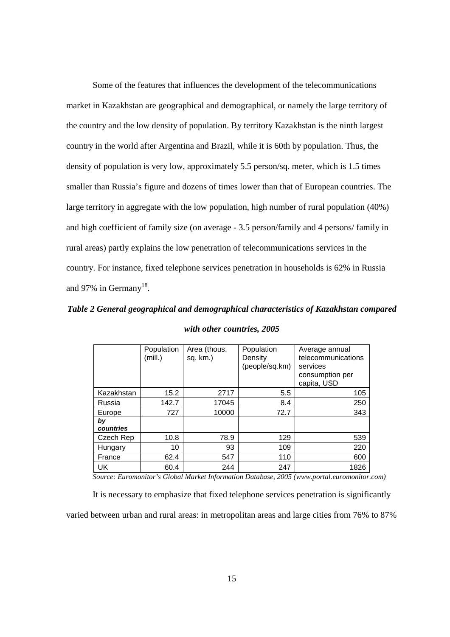Some of the features that influences the development of the telecommunications market in Kazakhstan are geographical and demographical, or namely the large territory of the country and the low density of population. By territory Kazakhstan is the ninth largest country in the world after Argentina and Brazil, while it is 60th by population. Thus, the density of population is very low, approximately 5.5 person/sq. meter, which is 1.5 times smaller than Russia's figure and dozens of times lower than that of European countries. The large territory in aggregate with the low population, high number of rural population (40%) and high coefficient of family size (on average - 3.5 person/family and 4 persons/ family in rural areas) partly explains the low penetration of telecommunications services in the country. For instance, fixed telephone services penetration in households is 62% in Russia and 97% in Germany<sup>18</sup>.

*Table 2 General geographical and demographical characteristics of Kazakhstan compared* 

|                 | Population<br>(mill.) | Area (thous.<br>sq. km.) | Population<br>Density<br>(people/sq.km) | Average annual<br>telecommunications<br>services<br>consumption per<br>capita, USD |
|-----------------|-----------------------|--------------------------|-----------------------------------------|------------------------------------------------------------------------------------|
| Kazakhstan      | 15.2                  | 2717                     | 5.5                                     | 105                                                                                |
| Russia          | 142.7                 | 17045                    | 8.4                                     | 250                                                                                |
| Europe          | 727                   | 10000                    | 72.7                                    | 343                                                                                |
| by<br>countries |                       |                          |                                         |                                                                                    |
| Czech Rep       | 10.8                  | 78.9                     | 129                                     | 539                                                                                |
| Hungary         | 10                    | 93                       | 109                                     | 220                                                                                |
| France          | 62.4                  | 547                      | 110                                     | 600                                                                                |
| UK              | 60.4                  | 244                      | 247                                     | 1826                                                                               |

*with other countries, 2005*

*Source: Euromonitor's Global Market Information Database, 2005 (www.portal.euromonitor.com)*

 It is necessary to emphasize that fixed telephone services penetration is significantly varied between urban and rural areas: in metropolitan areas and large cities from 76% to 87%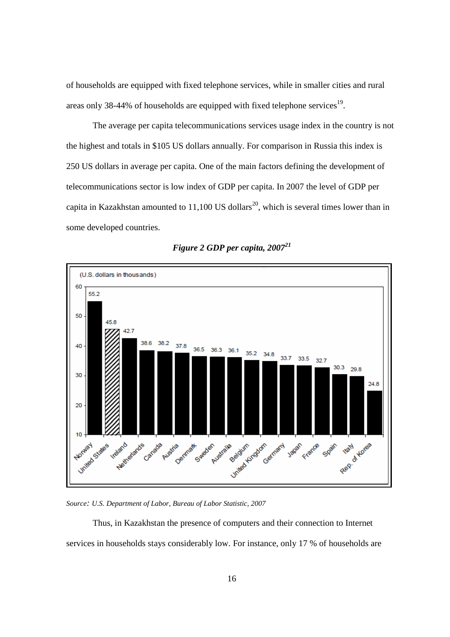of households are equipped with fixed telephone services, while in smaller cities and rural areas only 38-44% of households are equipped with fixed telephone services<sup>19</sup>.

 The average per capita telecommunications services usage index in the country is not the highest and totals in \$105 US dollars annually. For comparison in Russia this index is 250 US dollars in average per capita. One of the main factors defining the development of telecommunications sector is low index of GDP per capita. In 2007 the level of GDP per capita in Kazakhstan amounted to  $11,100$  US dollars<sup>20</sup>, which is several times lower than in some developed countries.



# *Figure 2 GDP per capita, 2007<sup>21</sup>*

*Source: U.S. Department of Labor, Bureau of Labor Statistic, 2007*

Thus, in Kazakhstan the presence of computers and their connection to Internet services in households stays considerably low. For instance, only 17 % of households are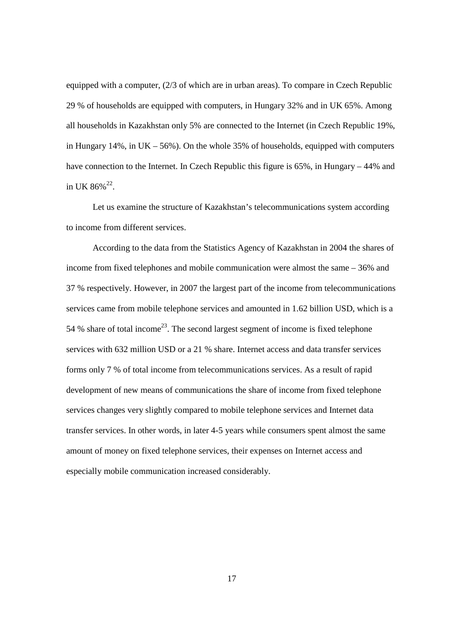equipped with a computer, (2/3 of which are in urban areas). To compare in Czech Republic 29 % of households are equipped with computers, in Hungary 32% and in UK 65%. Among all households in Kazakhstan only 5% are connected to the Internet (in Czech Republic 19%, in Hungary 14%, in  $UK - 56$ %). On the whole 35% of households, equipped with computers have connection to the Internet. In Czech Republic this figure is 65%, in Hungary – 44% and in UK  $86\%^{22}$ .

Let us examine the structure of Kazakhstan's telecommunications system according to income from different services.

According to the data from the Statistics Agency of Kazakhstan in 2004 the shares of income from fixed telephones and mobile communication were almost the same – 36% and 37 % respectively. However, in 2007 the largest part of the income from telecommunications services came from mobile telephone services and amounted in 1.62 billion USD, which is a 54 % share of total income<sup>23</sup>. The second largest segment of income is fixed telephone services with 632 million USD or a 21 % share. Internet access and data transfer services forms only 7 % of total income from telecommunications services. As a result of rapid development of new means of communications the share of income from fixed telephone services changes very slightly compared to mobile telephone services and Internet data transfer services. In other words, in later 4-5 years while consumers spent almost the same amount of money on fixed telephone services, their expenses on Internet access and especially mobile communication increased considerably.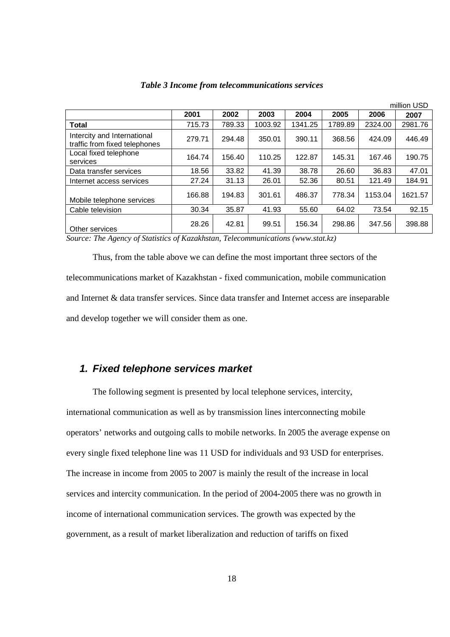|                                                              |        |        |         |         |         |         | million USD |
|--------------------------------------------------------------|--------|--------|---------|---------|---------|---------|-------------|
|                                                              | 2001   | 2002   | 2003    | 2004    | 2005    | 2006    | 2007        |
| <b>Total</b>                                                 | 715.73 | 789.33 | 1003.92 | 1341.25 | 1789.89 | 2324.00 | 2981.76     |
| Intercity and International<br>traffic from fixed telephones | 279.71 | 294.48 | 350.01  | 390.11  | 368.56  | 424.09  | 446.49      |
| Local fixed telephone<br>services                            | 164.74 | 156.40 | 110.25  | 122.87  | 145.31  | 167.46  | 190.75      |
| Data transfer services                                       | 18.56  | 33.82  | 41.39   | 38.78   | 26.60   | 36.83   | 47.01       |
| Internet access services                                     | 27.24  | 31.13  | 26.01   | 52.36   | 80.51   | 121.49  | 184.91      |
| Mobile telephone services                                    | 166.88 | 194.83 | 301.61  | 486.37  | 778.34  | 1153.04 | 1621.57     |
| Cable television                                             | 30.34  | 35.87  | 41.93   | 55.60   | 64.02   | 73.54   | 92.15       |
| Other services                                               | 28.26  | 42.81  | 99.51   | 156.34  | 298.86  | 347.56  | 398.88      |

#### *Table 3 Income from telecommunications services*

*Source: The Agency of Statistics of Kazakhstan, Telecommunications (www.stat.kz)* 

Thus, from the table above we can define the most important three sectors of the telecommunications market of Kazakhstan - fixed communication, mobile communication and Internet & data transfer services. Since data transfer and Internet access are inseparable and develop together we will consider them as one.

# **1. Fixed telephone services market**

 The following segment is presented by local telephone services, intercity, international communication as well as by transmission lines interconnecting mobile operators' networks and outgoing calls to mobile networks. In 2005 the average expense on every single fixed telephone line was 11 USD for individuals and 93 USD for enterprises. The increase in income from 2005 to 2007 is mainly the result of the increase in local services and intercity communication. In the period of 2004-2005 there was no growth in income of international communication services. The growth was expected by the government, as a result of market liberalization and reduction of tariffs on fixed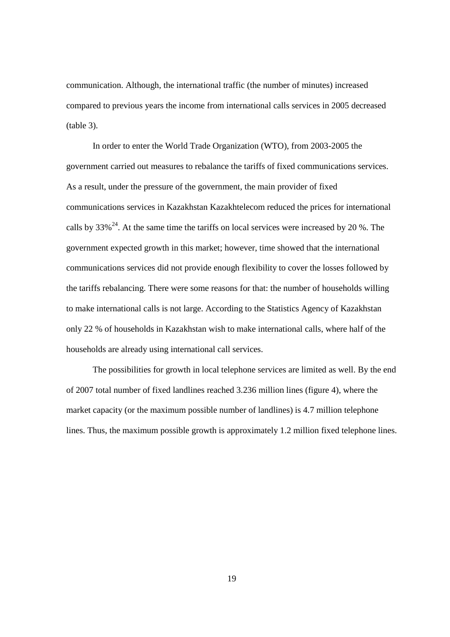communication. Although, the international traffic (the number of minutes) increased compared to previous years the income from international calls services in 2005 decreased (table 3).

In order to enter the World Trade Organization (WTO), from 2003-2005 the government carried out measures to rebalance the tariffs of fixed communications services. As a result, under the pressure of the government, the main provider of fixed communications services in Kazakhstan Kazakhtelecom reduced the prices for international calls by  $33\%^{24}$ . At the same time the tariffs on local services were increased by 20 %. The government expected growth in this market; however, time showed that the international communications services did not provide enough flexibility to cover the losses followed by the tariffs rebalancing. There were some reasons for that: the number of households willing to make international calls is not large. According to the Statistics Agency of Kazakhstan only 22 % of households in Kazakhstan wish to make international calls, where half of the households are already using international call services.

The possibilities for growth in local telephone services are limited as well. By the end of 2007 total number of fixed landlines reached 3.236 million lines (figure 4), where the market capacity (or the maximum possible number of landlines) is 4.7 million telephone lines. Thus, the maximum possible growth is approximately 1.2 million fixed telephone lines.

19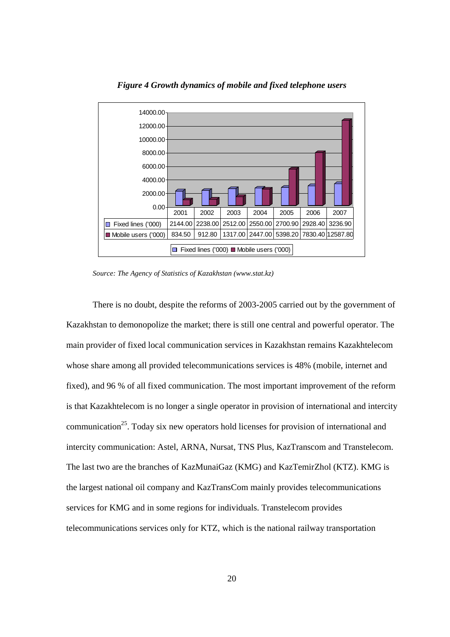

*Figure 4 Growth dynamics of mobile and fixed telephone users* 

*Source: The Agency of Statistics of Kazakhstan (www.stat.kz)* 

There is no doubt, despite the reforms of 2003-2005 carried out by the government of Kazakhstan to demonopolize the market; there is still one central and powerful operator. The main provider of fixed local communication services in Kazakhstan remains Kazakhtelecom whose share among all provided telecommunications services is 48% (mobile, internet and fixed), and 96 % of all fixed communication. The most important improvement of the reform is that Kazakhtelecom is no longer a single operator in provision of international and intercity communication<sup>25</sup>. Today six new operators hold licenses for provision of international and intercity communication: Astel, ARNA, Nursat, TNS Plus, KazTranscom and Transtelecom. The last two are the branches of KazMunaiGaz (KMG) and KazTemirZhol (KTZ). KMG is the largest national oil company and KazTransCom mainly provides telecommunications services for KMG and in some regions for individuals. Transtelecom provides telecommunications services only for KTZ, which is the national railway transportation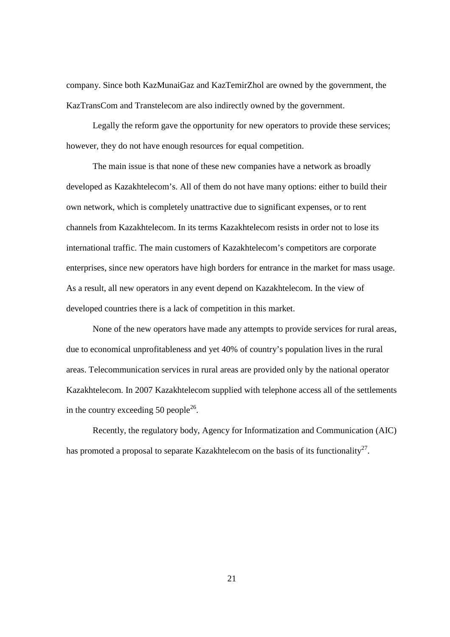company. Since both KazMunaiGaz and KazTemirZhol are owned by the government, the KazTransCom and Transtelecom are also indirectly owned by the government.

Legally the reform gave the opportunity for new operators to provide these services; however, they do not have enough resources for equal competition.

 The main issue is that none of these new companies have a network as broadly developed as Kazakhtelecom's. All of them do not have many options: either to build their own network, which is completely unattractive due to significant expenses, or to rent channels from Kazakhtelecom. In its terms Kazakhtelecom resists in order not to lose its international traffic. The main customers of Kazakhtelecom's competitors are corporate enterprises, since new operators have high borders for entrance in the market for mass usage. As a result, all new operators in any event depend on Kazakhtelecom. In the view of developed countries there is a lack of competition in this market.

 None of the new operators have made any attempts to provide services for rural areas, due to economical unprofitableness and yet 40% of country's population lives in the rural areas. Telecommunication services in rural areas are provided only by the national operator Kazakhtelecom. In 2007 Kazakhtelecom supplied with telephone access all of the settlements in the country exceeding 50 people<sup>26</sup>.

Recently, the regulatory body, Agency for Informatization and Communication (AIC) has promoted a proposal to separate Kazakhtelecom on the basis of its functionality<sup>27</sup>.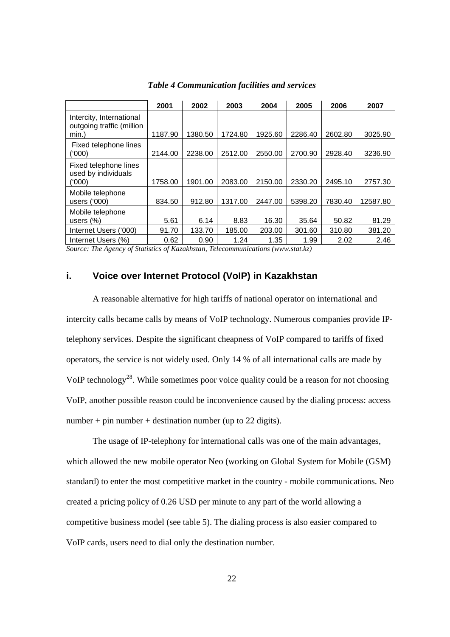|                                                        | 2001    | 2002    | 2003    | 2004    | 2005    | 2006    | 2007     |
|--------------------------------------------------------|---------|---------|---------|---------|---------|---------|----------|
| Intercity, International<br>outgoing traffic (million  |         |         |         |         |         |         |          |
| min.                                                   | 1187.90 | 1380.50 | 1724.80 | 1925.60 | 2286.40 | 2602.80 | 3025.90  |
| Fixed telephone lines<br>(000)                         | 2144.00 | 2238.00 | 2512.00 | 2550.00 | 2700.90 | 2928.40 | 3236.90  |
| Fixed telephone lines<br>used by individuals<br>('000) | 1758.00 | 1901.00 | 2083.00 | 2150.00 | 2330.20 | 2495.10 | 2757.30  |
|                                                        |         |         |         |         |         |         |          |
| Mobile telephone<br>users ('000)                       | 834.50  | 912.80  | 1317.00 | 2447.00 | 5398.20 | 7830.40 | 12587.80 |
| Mobile telephone                                       |         |         |         |         |         |         |          |
| users $(\%)$                                           | 5.61    | 6.14    | 8.83    | 16.30   | 35.64   | 50.82   | 81.29    |
| Internet Users ('000)                                  | 91.70   | 133.70  | 185.00  | 203.00  | 301.60  | 310.80  | 381.20   |
| Internet Users (%)                                     | 0.62    | 0.90    | 1.24    | 1.35    | 1.99    | 2.02    | 2.46     |

*Table 4 Communication facilities and services* 

*Source: The Agency of Statistics of Kazakhstan, Telecommunications (www.stat.kz)* 

#### **i. Voice over Internet Protocol (VoIP) in Kazakhstan**

A reasonable alternative for high tariffs of national operator on international and intercity calls became calls by means of VoIP technology. Numerous companies provide IPtelephony services. Despite the significant cheapness of VoIP compared to tariffs of fixed operators, the service is not widely used. Only 14 % of all international calls are made by VoIP technology<sup>28</sup>. While sometimes poor voice quality could be a reason for not choosing VoIP, another possible reason could be inconvenience caused by the dialing process: access number + pin number + destination number (up to 22 digits).

The usage of IP-telephony for international calls was one of the main advantages, which allowed the new mobile operator Neo (working on Global System for Mobile (GSM) standard) to enter the most competitive market in the country - mobile communications. Neo created a pricing policy of 0.26 USD per minute to any part of the world allowing a competitive business model (see table 5). The dialing process is also easier compared to VoIP cards, users need to dial only the destination number.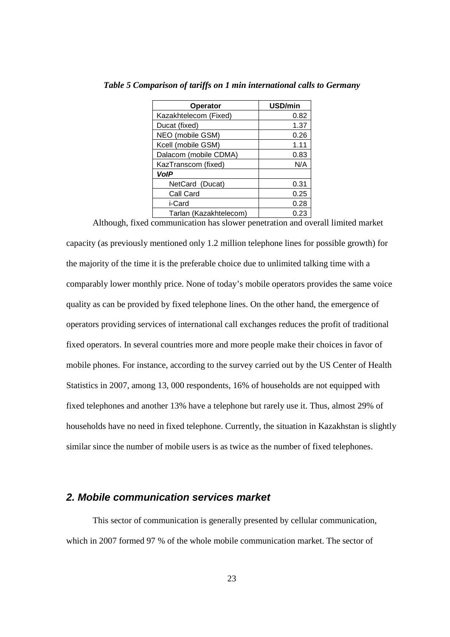| Operator               | USD/min |
|------------------------|---------|
| Kazakhtelecom (Fixed)  | 0.82    |
| Ducat (fixed)          | 1.37    |
| NEO (mobile GSM)       | 0.26    |
| Kcell (mobile GSM)     | 1.11    |
| Dalacom (mobile CDMA)  | 0.83    |
| KazTranscom (fixed)    | N/A     |
| <b>VoIP</b>            |         |
| NetCard (Ducat)        | 0.31    |
| Call Card              | 0.25    |
| i-Card                 | 0.28    |
| Tarlan (Kazakhtelecom) | 0.23    |

*Table 5 Comparison of tariffs on 1 min international calls to Germany* 

Although, fixed communication has slower penetration and overall limited market capacity (as previously mentioned only 1.2 million telephone lines for possible growth) for the majority of the time it is the preferable choice due to unlimited talking time with a comparably lower monthly price. None of today's mobile operators provides the same voice quality as can be provided by fixed telephone lines. On the other hand, the emergence of operators providing services of international call exchanges reduces the profit of traditional fixed operators. In several countries more and more people make their choices in favor of mobile phones. For instance, according to the survey carried out by the US Center of Health Statistics in 2007, among 13, 000 respondents, 16% of households are not equipped with fixed telephones and another 13% have a telephone but rarely use it. Thus, almost 29% of households have no need in fixed telephone. Currently, the situation in Kazakhstan is slightly similar since the number of mobile users is as twice as the number of fixed telephones.

### **2. Mobile communication services market**

This sector of communication is generally presented by cellular communication, which in 2007 formed 97 % of the whole mobile communication market. The sector of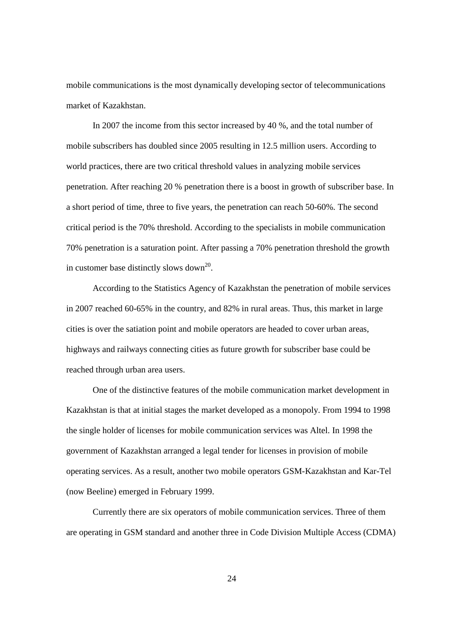mobile communications is the most dynamically developing sector of telecommunications market of Kazakhstan.

In 2007 the income from this sector increased by 40 %, and the total number of mobile subscribers has doubled since 2005 resulting in 12.5 million users. According to world practices, there are two critical threshold values in analyzing mobile services penetration. After reaching 20 % penetration there is a boost in growth of subscriber base. In a short period of time, three to five years, the penetration can reach 50-60%. The second critical period is the 70% threshold. According to the specialists in mobile communication 70% penetration is a saturation point. After passing a 70% penetration threshold the growth in customer base distinctly slows down<sup>20</sup>.

According to the Statistics Agency of Kazakhstan the penetration of mobile services in 2007 reached 60-65% in the country, and 82% in rural areas. Thus, this market in large cities is over the satiation point and mobile operators are headed to cover urban areas, highways and railways connecting cities as future growth for subscriber base could be reached through urban area users.

One of the distinctive features of the mobile communication market development in Kazakhstan is that at initial stages the market developed as a monopoly. From 1994 to 1998 the single holder of licenses for mobile communication services was Altel. In 1998 the government of Kazakhstan arranged a legal tender for licenses in provision of mobile operating services. As a result, another two mobile operators GSM-Kazakhstan and Kar-Tel (now Beeline) emerged in February 1999.

Currently there are six operators of mobile communication services. Three of them are operating in GSM standard and another three in Code Division Multiple Access (CDMA)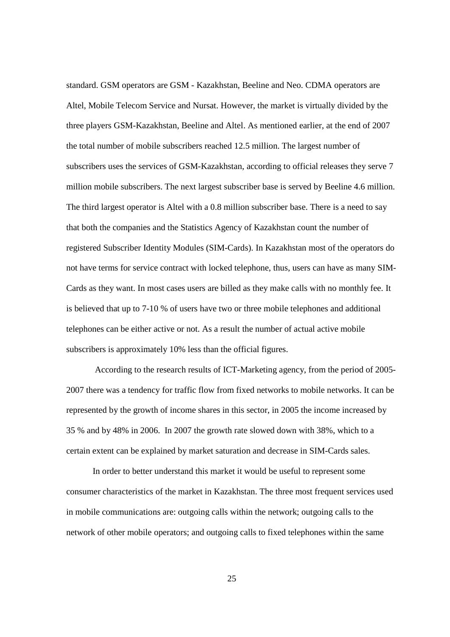standard. GSM operators are GSM - Kazakhstan, Beeline and Neo. CDMA operators are Altel, Mobile Telecom Service and Nursat. However, the market is virtually divided by the three players GSM-Kazakhstan, Beeline and Altel. As mentioned earlier, at the end of 2007 the total number of mobile subscribers reached 12.5 million. The largest number of subscribers uses the services of GSM-Kazakhstan, according to official releases they serve 7 million mobile subscribers. The next largest subscriber base is served by Beeline 4.6 million. The third largest operator is Altel with a 0.8 million subscriber base. There is a need to say that both the companies and the Statistics Agency of Kazakhstan count the number of registered Subscriber Identity Modules (SIM-Cards). In Kazakhstan most of the operators do not have terms for service contract with locked telephone, thus, users can have as many SIM-Cards as they want. In most cases users are billed as they make calls with no monthly fee. It is believed that up to 7-10 % of users have two or three mobile telephones and additional telephones can be either active or not. As a result the number of actual active mobile subscribers is approximately 10% less than the official figures.

 According to the research results of ICT-Marketing agency, from the period of 2005- 2007 there was a tendency for traffic flow from fixed networks to mobile networks. It can be represented by the growth of income shares in this sector, in 2005 the income increased by 35 % and by 48% in 2006. In 2007 the growth rate slowed down with 38%, which to a certain extent can be explained by market saturation and decrease in SIM-Cards sales.

 In order to better understand this market it would be useful to represent some consumer characteristics of the market in Kazakhstan. The three most frequent services used in mobile communications are: outgoing calls within the network; outgoing calls to the network of other mobile operators; and outgoing calls to fixed telephones within the same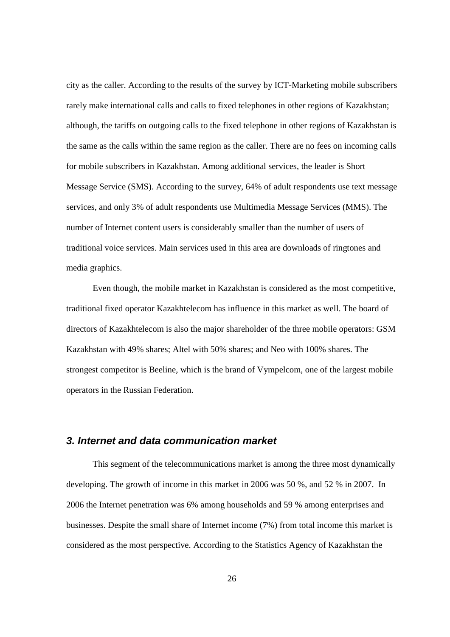city as the caller. According to the results of the survey by ICT-Marketing mobile subscribers rarely make international calls and calls to fixed telephones in other regions of Kazakhstan; although, the tariffs on outgoing calls to the fixed telephone in other regions of Kazakhstan is the same as the calls within the same region as the caller. There are no fees on incoming calls for mobile subscribers in Kazakhstan. Among additional services, the leader is Short Message Service (SMS). According to the survey, 64% of adult respondents use text message services, and only 3% of adult respondents use Multimedia Message Services (MMS). The number of Internet content users is considerably smaller than the number of users of traditional voice services. Main services used in this area are downloads of ringtones and media graphics.

 Even though, the mobile market in Kazakhstan is considered as the most competitive, traditional fixed operator Kazakhtelecom has influence in this market as well. The board of directors of Kazakhtelecom is also the major shareholder of the three mobile operators: GSM Kazakhstan with 49% shares; Altel with 50% shares; and Neo with 100% shares. The strongest competitor is Beeline, which is the brand of Vympelcom, one of the largest mobile operators in the Russian Federation.

# **3. Internet and data communication market**

 This segment of the telecommunications market is among the three most dynamically developing. The growth of income in this market in 2006 was 50 %, and 52 % in 2007. In 2006 the Internet penetration was 6% among households and 59 % among enterprises and businesses. Despite the small share of Internet income (7%) from total income this market is considered as the most perspective. According to the Statistics Agency of Kazakhstan the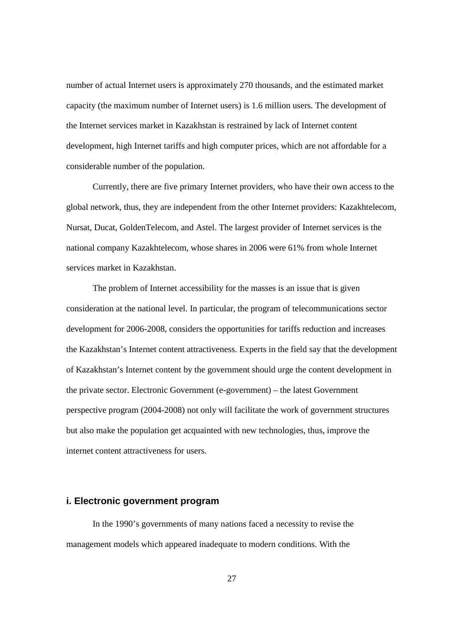number of actual Internet users is approximately 270 thousands, and the estimated market capacity (the maximum number of Internet users) is 1.6 million users. The development of the Internet services market in Kazakhstan is restrained by lack of Internet content development, high Internet tariffs and high computer prices, which are not affordable for a considerable number of the population.

 Currently, there are five primary Internet providers, who have their own access to the global network, thus, they are independent from the other Internet providers: Kazakhtelecom, Nursat, Ducat, GoldenTelecom, and Astel. The largest provider of Internet services is the national company Kazakhtelecom, whose shares in 2006 were 61% from whole Internet services market in Kazakhstan.

The problem of Internet accessibility for the masses is an issue that is given consideration at the national level. In particular, the program of telecommunications sector development for 2006-2008, considers the opportunities for tariffs reduction and increases the Kazakhstan's Internet content attractiveness. Experts in the field say that the development of Kazakhstan's Internet content by the government should urge the content development in the private sector. Electronic Government (e-government) – the latest Government perspective program (2004-2008) not only will facilitate the work of government structures but also make the population get acquainted with new technologies, thus, improve the internet content attractiveness for users.

# **i. Electronic government program**

In the 1990's governments of many nations faced a necessity to revise the management models which appeared inadequate to modern conditions. With the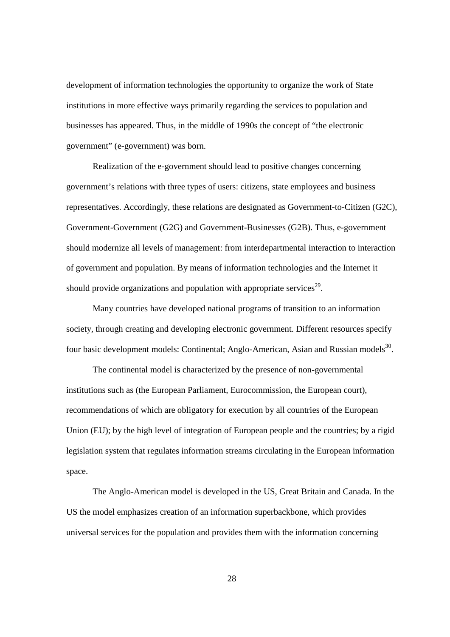development of information technologies the opportunity to organize the work of State institutions in more effective ways primarily regarding the services to population and businesses has appeared. Thus, in the middle of 1990s the concept of "the electronic government" (e-government) was born.

Realization of the e-government should lead to positive changes concerning government's relations with three types of users: citizens, state employees and business representatives. Accordingly, these relations are designated as Government-to-Citizen (G2C), Government-Government (G2G) and Government-Businesses (G2B). Thus, e-government should modernize all levels of management: from interdepartmental interaction to interaction of government and population. By means of information technologies and the Internet it should provide organizations and population with appropriate services<sup>29</sup>.

 Many countries have developed national programs of transition to an information society, through creating and developing electronic government. Different resources specify four basic development models: Continental; Anglo-American, Asian and Russian models<sup>30</sup>.

 The continental model is characterized by the presence of non-governmental institutions such as (the European Parliament, Eurocommission, the European court), recommendations of which are obligatory for execution by all countries of the European Union (EU); by the high level of integration of European people and the countries; by a rigid legislation system that regulates information streams circulating in the European information space.

 The Anglo-American model is developed in the US, Great Britain and Canada. In the US the model emphasizes creation of an information superbackbone, which provides universal services for the population and provides them with the information concerning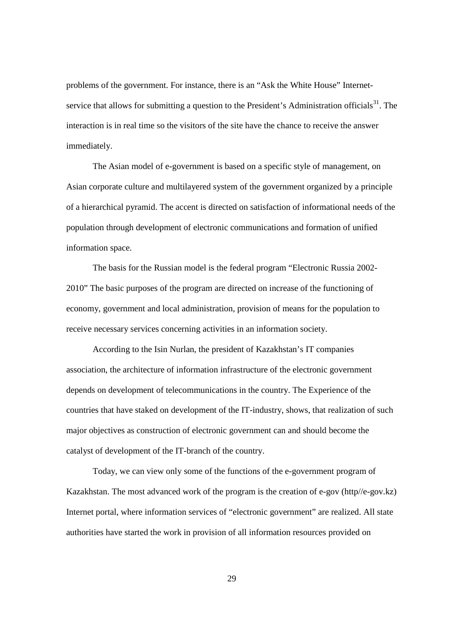problems of the government. For instance, there is an "Ask the White House" Internetservice that allows for submitting a question to the President's Administration officials<sup>31</sup>. The interaction is in real time so the visitors of the site have the chance to receive the answer immediately.

The Asian model of e-government is based on a specific style of management, on Asian corporate culture and multilayered system of the government organized by a principle of a hierarchical pyramid. The accent is directed on satisfaction of informational needs of the population through development of electronic communications and formation of unified information space.

The basis for the Russian model is the federal program "Electronic Russia 2002- 2010" The basic purposes of the program are directed on increase of the functioning of economy, government and local administration, provision of means for the population to receive necessary services concerning activities in an information society.

According to the Isin Nurlan, the president of Kazakhstan's IT companies association, the architecture of information infrastructure of the electronic government depends on development of telecommunications in the country. The Experience of the countries that have staked on development of the IT-industry, shows, that realization of such major objectives as construction of electronic government can and should become the catalyst of development of the IT-branch of the country.

Today, we can view only some of the functions of the e-government program of Kazakhstan. The most advanced work of the program is the creation of e-gov (http//e-gov.kz) Internet portal, where information services of "electronic government" are realized. All state authorities have started the work in provision of all information resources provided on

29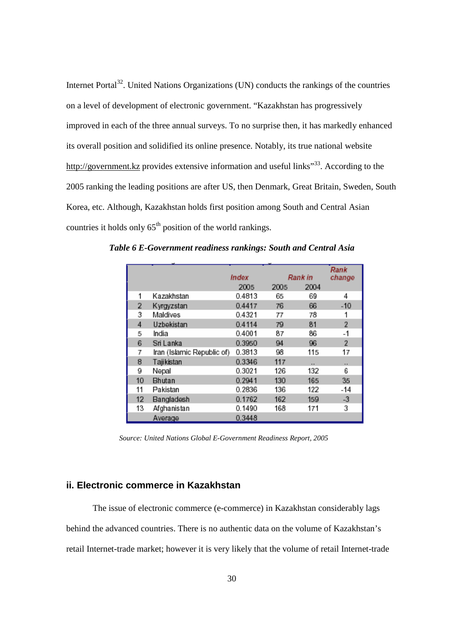Internet Portal<sup>32</sup>. United Nations Organizations (UN) conducts the rankings of the countries on a level of development of electronic government. "Kazakhstan has progressively improved in each of the three annual surveys. To no surprise then, it has markedly enhanced its overall position and solidified its online presence. Notably, its true national website http://government.kz provides extensive information and useful links<sup>33</sup>. According to the 2005 ranking the leading positions are after US, then Denmark, Great Britain, Sweden, South Korea, etc. Although, Kazakhstan holds first position among South and Central Asian countries it holds only  $65<sup>th</sup>$  position of the world rankings.

|    |                            | Index  |      | Rank in | Rank<br>change |
|----|----------------------------|--------|------|---------|----------------|
|    |                            | 2005   | 2005 | 2004    |                |
| 1  | Kazakhstan                 | 0.4813 | 65   | 69      | 4              |
| 2  | Kyrgyzstan                 | 0.4417 | 76   | 66      | $-10$          |
| 3  | Maldives                   | 0.4321 | 77   | 78      |                |
| 4  | Uzbekistan                 | 0.4114 | 79   | 81      | 2              |
| 5  | India                      | 0.4001 | 87   | 86      | -1             |
| 6  | Sri Lanka                  | 0.3950 | 94   | 96      | 2              |
| 7  | Iran (Islamic Republic of) | 0.3813 | 98   | 115     | 17             |
| 8  | Tajikistan                 | 0.3346 | 117  |         |                |
| 9  | Nepal                      | 0.3021 | 126  | 132     | 6              |
| 10 | Bhutan                     | 0.2941 | 130  | 165     | 35             |
| 11 | Pakistan                   | 0.2836 | 136  | 122     | -14            |
| 12 | Bangladesh                 | 0.1762 | 162  | 159     | $-3$           |
| 13 | Afghanistan                | 0.1490 | 168  | 171     | 3              |
|    | Average                    | 0.3448 |      |         |                |

*Table 6 E-Government readiness rankings: South and Central Asia* 

*Source: United Nations Global E-Government Readiness Report, 2005*

# **ii. Electronic commerce in Kazakhstan**

 The issue of electronic commerce (e-commerce) in Kazakhstan considerably lags behind the advanced countries. There is no authentic data on the volume of Kazakhstan's retail Internet-trade market; however it is very likely that the volume of retail Internet-trade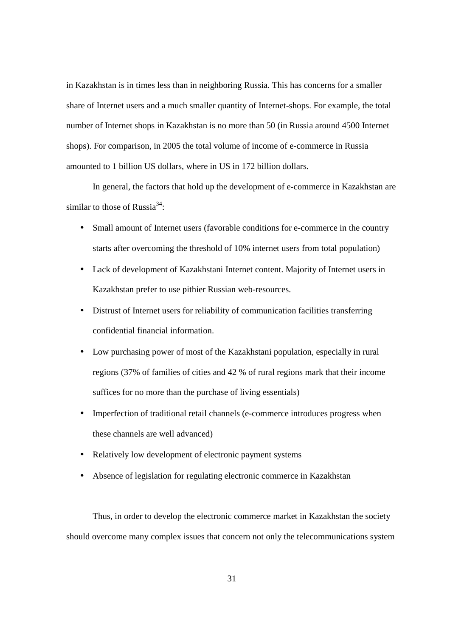in Kazakhstan is in times less than in neighboring Russia. This has concerns for a smaller share of Internet users and a much smaller quantity of Internet-shops. For example, the total number of Internet shops in Kazakhstan is no more than 50 (in Russia around 4500 Internet shops). For comparison, in 2005 the total volume of income of e-commerce in Russia amounted to 1 billion US dollars, where in US in 172 billion dollars.

 In general, the factors that hold up the development of e-commerce in Kazakhstan are similar to those of Russia<sup>34</sup>:

- Small amount of Internet users (favorable conditions for e-commerce in the country starts after overcoming the threshold of 10% internet users from total population)
- Lack of development of Kazakhstani Internet content. Majority of Internet users in Kazakhstan prefer to use pithier Russian web-resources.
- Distrust of Internet users for reliability of communication facilities transferring confidential financial information.
- Low purchasing power of most of the Kazakhstani population, especially in rural regions (37% of families of cities and 42 % of rural regions mark that their income suffices for no more than the purchase of living essentials)
- Imperfection of traditional retail channels (e-commerce introduces progress when these channels are well advanced)
- Relatively low development of electronic payment systems
- Absence of legislation for regulating electronic commerce in Kazakhstan

Thus, in order to develop the electronic commerce market in Kazakhstan the society should overcome many complex issues that concern not only the telecommunications system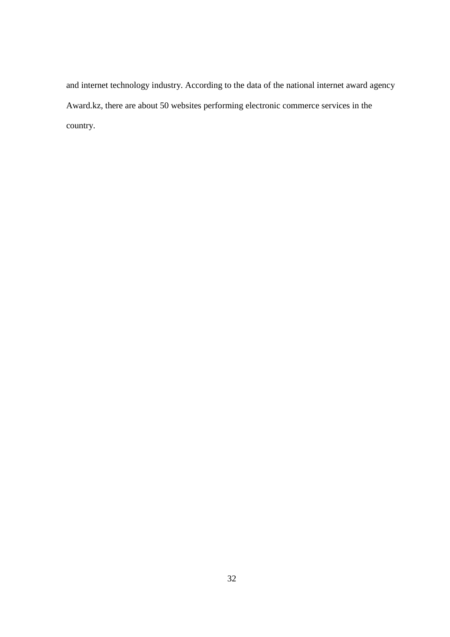and internet technology industry. According to the data of the national internet award agency Award.kz, there are about 50 websites performing electronic commerce services in the country.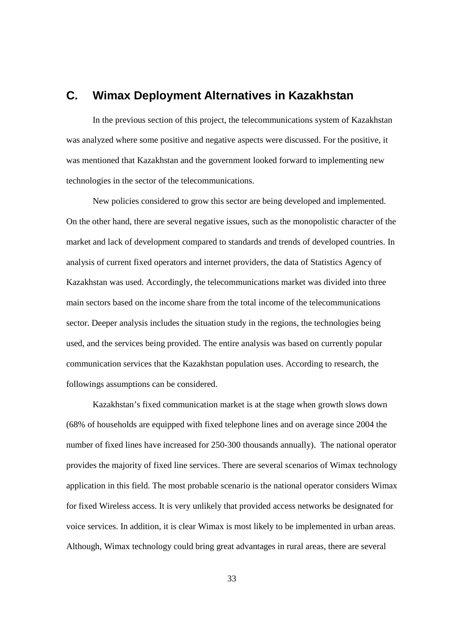# **C. Wimax Deployment Alternatives in Kazakhstan**

In the previous section of this project, the telecommunications system of Kazakhstan was analyzed where some positive and negative aspects were discussed. For the positive, it was mentioned that Kazakhstan and the government looked forward to implementing new technologies in the sector of the telecommunications.

New policies considered to grow this sector are being developed and implemented. On the other hand, there are several negative issues, such as the monopolistic character of the market and lack of development compared to standards and trends of developed countries. In analysis of current fixed operators and internet providers, the data of Statistics Agency of Kazakhstan was used. Accordingly, the telecommunications market was divided into three main sectors based on the income share from the total income of the telecommunications sector. Deeper analysis includes the situation study in the regions, the technologies being used, and the services being provided. The entire analysis was based on currently popular communication services that the Kazakhstan population uses. According to research, the followings assumptions can be considered.

Kazakhstan's fixed communication market is at the stage when growth slows down (68% of households are equipped with fixed telephone lines and on average since 2004 the number of fixed lines have increased for 250-300 thousands annually). The national operator provides the majority of fixed line services. There are several scenarios of Wimax technology application in this field. The most probable scenario is the national operator considers Wimax for fixed Wireless access. It is very unlikely that provided access networks be designated for voice services. In addition, it is clear Wimax is most likely to be implemented in urban areas. Although, Wimax technology could bring great advantages in rural areas, there are several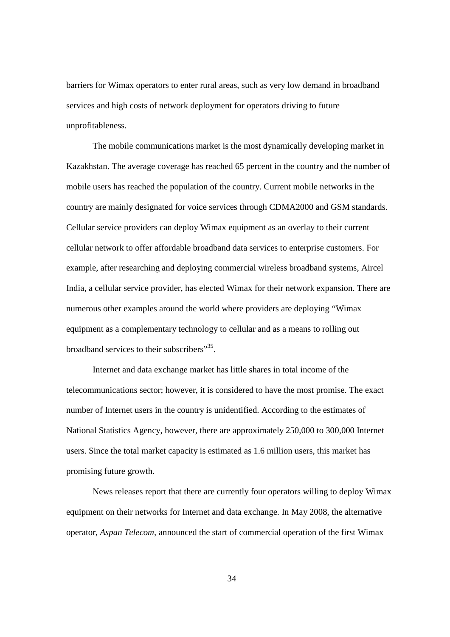barriers for Wimax operators to enter rural areas, such as very low demand in broadband services and high costs of network deployment for operators driving to future unprofitableness.

The mobile communications market is the most dynamically developing market in Kazakhstan. The average coverage has reached 65 percent in the country and the number of mobile users has reached the population of the country. Current mobile networks in the country are mainly designated for voice services through CDMA2000 and GSM standards. Cellular service providers can deploy Wimax equipment as an overlay to their current cellular network to offer affordable broadband data services to enterprise customers. For example, after researching and deploying commercial wireless broadband systems, Aircel India, a cellular service provider, has elected Wimax for their network expansion. There are numerous other examples around the world where providers are deploying "Wimax equipment as a complementary technology to cellular and as a means to rolling out broadband services to their subscribers"<sup>35</sup>.

Internet and data exchange market has little shares in total income of the telecommunications sector; however, it is considered to have the most promise. The exact number of Internet users in the country is unidentified. According to the estimates of National Statistics Agency, however, there are approximately 250,000 to 300,000 Internet users. Since the total market capacity is estimated as 1.6 million users, this market has promising future growth.

News releases report that there are currently four operators willing to deploy Wimax equipment on their networks for Internet and data exchange. In May 2008, the alternative operator, *Aspan Telecom,* announced the start of commercial operation of the first Wimax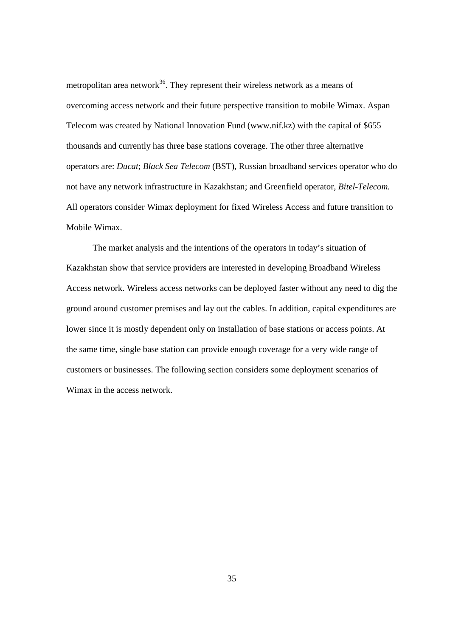metropolitan area network<sup>36</sup>. They represent their wireless network as a means of overcoming access network and their future perspective transition to mobile Wimax. Aspan Telecom was created by National Innovation Fund (www.nif.kz) with the capital of \$655 thousands and currently has three base stations coverage. The other three alternative operators are: *Ducat*; *Black Sea Telecom* (BST), Russian broadband services operator who do not have any network infrastructure in Kazakhstan; and Greenfield operator, *Bitel-Telecom.*  All operators consider Wimax deployment for fixed Wireless Access and future transition to Mobile Wimax.

The market analysis and the intentions of the operators in today's situation of Kazakhstan show that service providers are interested in developing Broadband Wireless Access network. Wireless access networks can be deployed faster without any need to dig the ground around customer premises and lay out the cables. In addition, capital expenditures are lower since it is mostly dependent only on installation of base stations or access points. At the same time, single base station can provide enough coverage for a very wide range of customers or businesses. The following section considers some deployment scenarios of Wimax in the access network.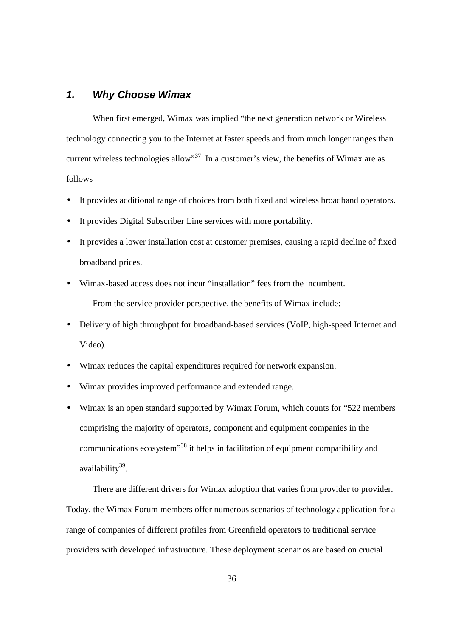# **1. Why Choose Wimax**

When first emerged, Wimax was implied "the next generation network or Wireless technology connecting you to the Internet at faster speeds and from much longer ranges than current wireless technologies allow"<sup>37</sup>. In a customer's view, the benefits of Wimax are as follows

- It provides additional range of choices from both fixed and wireless broadband operators.
- It provides Digital Subscriber Line services with more portability.
- It provides a lower installation cost at customer premises, causing a rapid decline of fixed broadband prices.
- Wimax-based access does not incur "installation" fees from the incumbent. From the service provider perspective, the benefits of Wimax include:
- Delivery of high throughput for broadband-based services (VoIP, high-speed Internet and Video).
- Wimax reduces the capital expenditures required for network expansion.
- Wimax provides improved performance and extended range.
- Wimax is an open standard supported by Wimax Forum, which counts for "522 members comprising the majority of operators, component and equipment companies in the communications ecosystem"<sup>38</sup> it helps in facilitation of equipment compatibility and availability<sup>39</sup>.

There are different drivers for Wimax adoption that varies from provider to provider. Today, the Wimax Forum members offer numerous scenarios of technology application for a range of companies of different profiles from Greenfield operators to traditional service providers with developed infrastructure. These deployment scenarios are based on crucial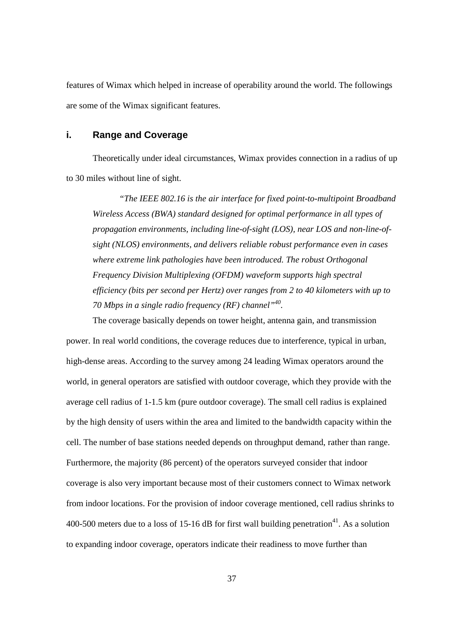features of Wimax which helped in increase of operability around the world. The followings are some of the Wimax significant features.

### **i. Range and Coverage**

Theoretically under ideal circumstances, Wimax provides connection in a radius of up to 30 miles without line of sight.

*"The IEEE 802.16 is the air interface for fixed point-to-multipoint Broadband Wireless Access (BWA) standard designed for optimal performance in all types of propagation environments, including line-of-sight (LOS), near LOS and non-line-ofsight (NLOS) environments, and delivers reliable robust performance even in cases where extreme link pathologies have been introduced. The robust Orthogonal Frequency Division Multiplexing (OFDM) waveform supports high spectral efficiency (bits per second per Hertz) over ranges from 2 to 40 kilometers with up to 70 Mbps in a single radio frequency (RF) channel"<sup>40</sup> .* 

The coverage basically depends on tower height, antenna gain, and transmission power. In real world conditions, the coverage reduces due to interference, typical in urban, high-dense areas. According to the survey among 24 leading Wimax operators around the world, in general operators are satisfied with outdoor coverage, which they provide with the average cell radius of 1-1.5 km (pure outdoor coverage). The small cell radius is explained by the high density of users within the area and limited to the bandwidth capacity within the cell. The number of base stations needed depends on throughput demand, rather than range. Furthermore, the majority (86 percent) of the operators surveyed consider that indoor coverage is also very important because most of their customers connect to Wimax network from indoor locations. For the provision of indoor coverage mentioned, cell radius shrinks to 400-500 meters due to a loss of 15-16 dB for first wall building penetration<sup>41</sup>. As a solution to expanding indoor coverage, operators indicate their readiness to move further than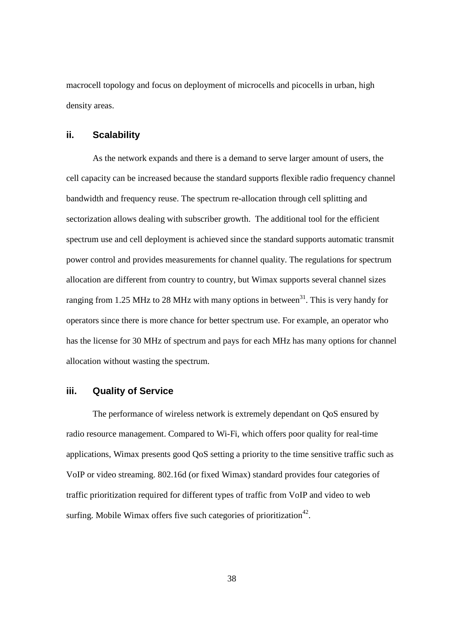macrocell topology and focus on deployment of microcells and picocells in urban, high density areas.

#### **ii. Scalability**

As the network expands and there is a demand to serve larger amount of users, the cell capacity can be increased because the standard supports flexible radio frequency channel bandwidth and frequency reuse. The spectrum re-allocation through cell splitting and sectorization allows dealing with subscriber growth. The additional tool for the efficient spectrum use and cell deployment is achieved since the standard supports automatic transmit power control and provides measurements for channel quality. The regulations for spectrum allocation are different from country to country, but Wimax supports several channel sizes ranging from 1.25 MHz to 28 MHz with many options in between<sup>31</sup>. This is very handy for operators since there is more chance for better spectrum use. For example, an operator who has the license for 30 MHz of spectrum and pays for each MHz has many options for channel allocation without wasting the spectrum.

#### **iii. Quality of Service**

The performance of wireless network is extremely dependant on QoS ensured by radio resource management. Compared to Wi-Fi, which offers poor quality for real-time applications, Wimax presents good QoS setting a priority to the time sensitive traffic such as VoIP or video streaming. 802.16d (or fixed Wimax) standard provides four categories of traffic prioritization required for different types of traffic from VoIP and video to web surfing. Mobile Wimax offers five such categories of prioritization $42$ .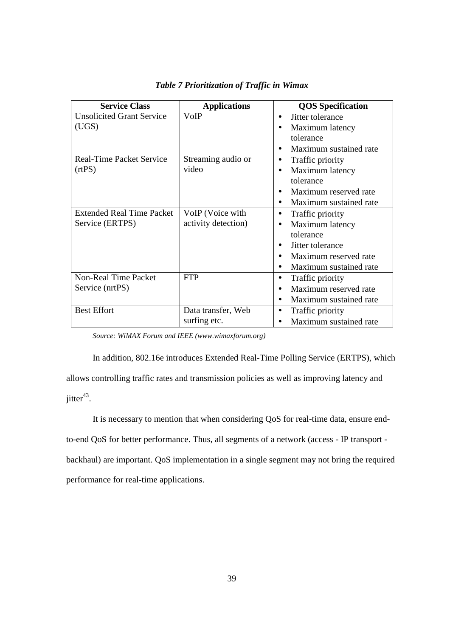| <b>Service Class</b>             | <b>Applications</b> | <b>QOS</b> Specification            |
|----------------------------------|---------------------|-------------------------------------|
| <b>Unsolicited Grant Service</b> | VoIP                | Jitter tolerance<br>$\bullet$       |
| (UGS)                            |                     | Maximum latency                     |
|                                  |                     | tolerance                           |
|                                  |                     | Maximum sustained rate              |
| <b>Real-Time Packet Service</b>  | Streaming audio or  | Traffic priority<br>$\bullet$       |
| (rtPS)                           | video               | Maximum latency<br>$\bullet$        |
|                                  |                     | tolerance                           |
|                                  |                     | Maximum reserved rate               |
|                                  |                     | Maximum sustained rate              |
| <b>Extended Real Time Packet</b> | VoIP (Voice with    | Traffic priority<br>٠               |
| Service (ERTPS)                  | activity detection) | Maximum latency                     |
|                                  |                     | tolerance                           |
|                                  |                     | Jitter tolerance                    |
|                                  |                     | Maximum reserved rate               |
|                                  |                     | Maximum sustained rate              |
| <b>Non-Real Time Packet</b>      | <b>FTP</b>          | Traffic priority<br>$\bullet$       |
| Service (nrtPS)                  |                     | Maximum reserved rate<br>$\bullet$  |
|                                  |                     | Maximum sustained rate<br>$\bullet$ |
| <b>Best Effort</b>               | Data transfer, Web  | Traffic priority                    |
|                                  | surfing etc.        | Maximum sustained rate              |

### *Table 7 Prioritization of Traffic in Wimax*

*Source: WiMAX Forum and IEEE (www.wimaxforum.org)*

In addition, 802.16e introduces Extended Real-Time Polling Service (ERTPS), which allows controlling traffic rates and transmission policies as well as improving latency and jitter $43$ .

It is necessary to mention that when considering QoS for real-time data, ensure endto-end QoS for better performance. Thus, all segments of a network (access - IP transport backhaul) are important. QoS implementation in a single segment may not bring the required performance for real-time applications.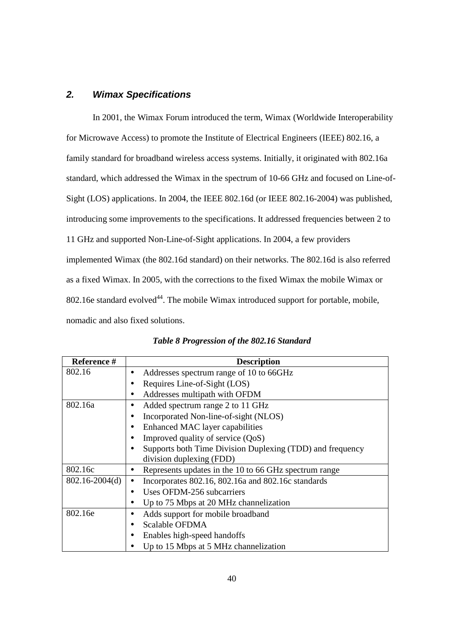# **2. Wimax Specifications**

In 2001, the Wimax Forum introduced the term, Wimax (Worldwide Interoperability for Microwave Access) to promote the Institute of Electrical Engineers (IEEE) 802.16, a family standard for broadband wireless access systems. Initially, it originated with 802.16a standard, which addressed the Wimax in the spectrum of 10-66 GHz and focused on Line-of-Sight (LOS) applications. In 2004, the IEEE 802.16d (or IEEE 802.16-2004) was published, introducing some improvements to the specifications. It addressed frequencies between 2 to 11 GHz and supported Non-Line-of-Sight applications. In 2004, a few providers implemented Wimax (the 802.16d standard) on their networks. The 802.16d is also referred as a fixed Wimax. In 2005, with the corrections to the fixed Wimax the mobile Wimax or 802.16e standard evolved<sup>44</sup>. The mobile Wimax introduced support for portable, mobile, nomadic and also fixed solutions.

| <b>Reference</b> # | <b>Description</b>                                        |
|--------------------|-----------------------------------------------------------|
| 802.16             | Addresses spectrum range of 10 to 66GHz                   |
|                    | Requires Line-of-Sight (LOS)                              |
|                    | Addresses multipath with OFDM                             |
| 802.16a            | Added spectrum range 2 to 11 GHz                          |
|                    | Incorporated Non-line-of-sight (NLOS)<br>$\bullet$        |
|                    | Enhanced MAC layer capabilities                           |
|                    | Improved quality of service (QoS)                         |
|                    | Supports both Time Division Duplexing (TDD) and frequency |
|                    | division duplexing (FDD)                                  |
| 802.16c            | Represents updates in the 10 to 66 GHz spectrum range     |
| $802.16 - 2004(d)$ | Incorporates 802.16, 802.16a and 802.16c standards        |
|                    | Uses OFDM-256 subcarriers                                 |
|                    | Up to 75 Mbps at 20 MHz channelization                    |
| 802.16e            | Adds support for mobile broadband                         |
|                    | <b>Scalable OFDMA</b>                                     |
|                    | Enables high-speed hand offs<br>$\bullet$                 |
|                    | Up to 15 Mbps at 5 MHz channelization                     |

|  | Table 8 Progression of the 802.16 Standard |  |  |  |
|--|--------------------------------------------|--|--|--|
|--|--------------------------------------------|--|--|--|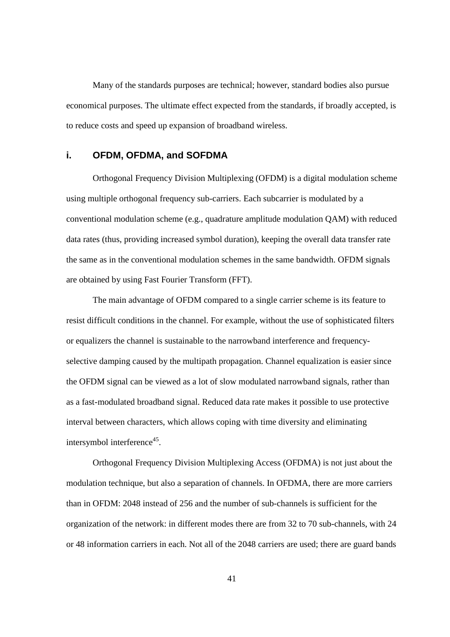Many of the standards purposes are technical; however, standard bodies also pursue economical purposes. The ultimate effect expected from the standards, if broadly accepted, is to reduce costs and speed up expansion of broadband wireless.

#### **i. OFDM, OFDMA, and SOFDMA**

Orthogonal Frequency Division Multiplexing (OFDM) is a digital modulation scheme using multiple orthogonal frequency sub-carriers. Each subcarrier is modulated by a conventional modulation scheme (e.g., quadrature amplitude modulation QAM) with reduced data rates (thus, providing increased symbol duration), keeping the overall data transfer rate the same as in the conventional modulation schemes in the same bandwidth. OFDM signals are obtained by using Fast Fourier Transform (FFT).

The main advantage of OFDM compared to a single carrier scheme is its feature to resist difficult conditions in the channel. For example, without the use of sophisticated filters or equalizers the channel is sustainable to the narrowband interference and frequencyselective damping caused by the multipath propagation. Channel equalization is easier since the OFDM signal can be viewed as a lot of slow modulated narrowband signals, rather than as a fast-modulated broadband signal. Reduced data rate makes it possible to use protective interval between characters, which allows coping with time diversity and eliminating intersymbol interference<sup>45</sup>.

 Orthogonal Frequency Division Multiplexing Access (OFDMA) is not just about the modulation technique, but also a separation of channels. In OFDMA, there are more carriers than in OFDM: 2048 instead of 256 and the number of sub-channels is sufficient for the organization of the network: in different modes there are from 32 to 70 sub-channels, with 24 or 48 information carriers in each. Not all of the 2048 carriers are used; there are guard bands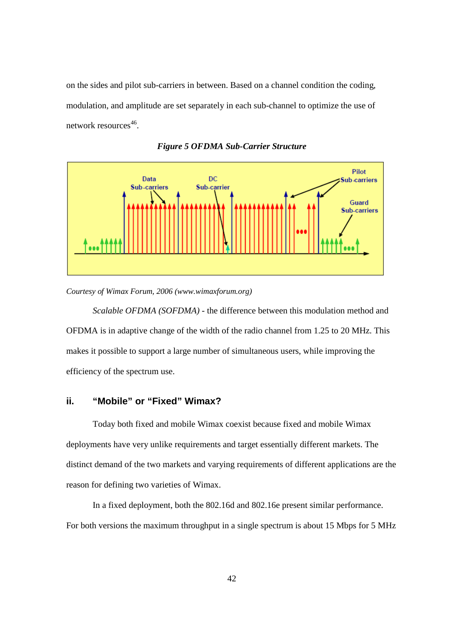on the sides and pilot sub-carriers in between. Based on a channel condition the coding, modulation, and amplitude are set separately in each sub-channel to optimize the use of network resources<sup>46</sup>.





*Courtesy of Wimax Forum, 2006 (www.wimaxforum.org)*

*Scalable OFDMA (SOFDMA)* - the difference between this modulation method and OFDMA is in adaptive change of the width of the radio channel from 1.25 to 20 MHz. This makes it possible to support a large number of simultaneous users, while improving the efficiency of the spectrum use.

# **ii. "Mobile" or "Fixed" Wimax?**

Today both fixed and mobile Wimax coexist because fixed and mobile Wimax deployments have very unlike requirements and target essentially different markets. The distinct demand of the two markets and varying requirements of different applications are the reason for defining two varieties of Wimax.

In a fixed deployment, both the 802.16d and 802.16e present similar performance. For both versions the maximum throughput in a single spectrum is about 15 Mbps for 5 MHz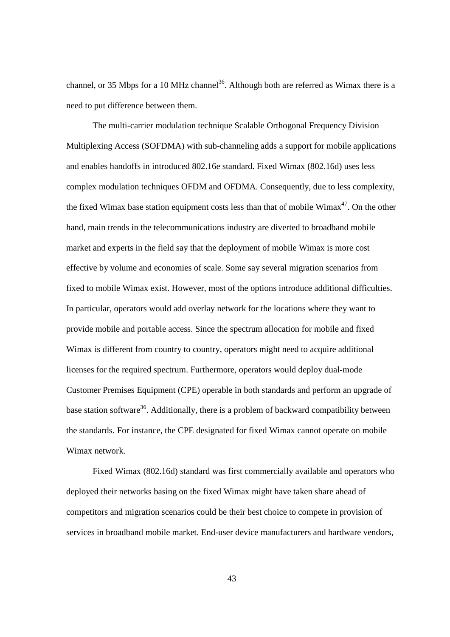channel, or 35 Mbps for a 10 MHz channel<sup>36</sup>. Although both are referred as Wimax there is a need to put difference between them.

The multi-carrier modulation technique Scalable Orthogonal Frequency Division Multiplexing Access (SOFDMA) with sub-channeling adds a support for mobile applications and enables handoffs in introduced 802.16e standard. Fixed Wimax (802.16d) uses less complex modulation techniques OFDM and OFDMA. Consequently, due to less complexity, the fixed Wimax base station equipment costs less than that of mobile Wimax $47$ . On the other hand, main trends in the telecommunications industry are diverted to broadband mobile market and experts in the field say that the deployment of mobile Wimax is more cost effective by volume and economies of scale. Some say several migration scenarios from fixed to mobile Wimax exist. However, most of the options introduce additional difficulties. In particular, operators would add overlay network for the locations where they want to provide mobile and portable access. Since the spectrum allocation for mobile and fixed Wimax is different from country to country, operators might need to acquire additional licenses for the required spectrum. Furthermore, operators would deploy dual-mode Customer Premises Equipment (CPE) operable in both standards and perform an upgrade of base station software<sup>36</sup>. Additionally, there is a problem of backward compatibility between the standards. For instance, the CPE designated for fixed Wimax cannot operate on mobile Wimax network.

Fixed Wimax (802.16d) standard was first commercially available and operators who deployed their networks basing on the fixed Wimax might have taken share ahead of competitors and migration scenarios could be their best choice to compete in provision of services in broadband mobile market. End-user device manufacturers and hardware vendors,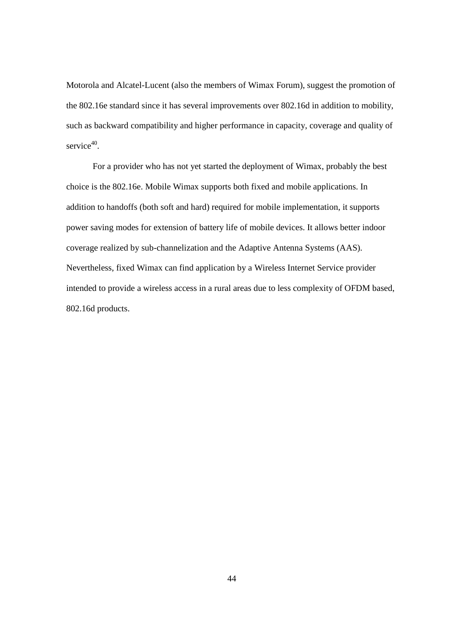Motorola and Alcatel-Lucent (also the members of Wimax Forum), suggest the promotion of the 802.16e standard since it has several improvements over 802.16d in addition to mobility, such as backward compatibility and higher performance in capacity, coverage and quality of service<sup>40</sup>.

 For a provider who has not yet started the deployment of Wimax, probably the best choice is the 802.16e. Mobile Wimax supports both fixed and mobile applications. In addition to handoffs (both soft and hard) required for mobile implementation, it supports power saving modes for extension of battery life of mobile devices. It allows better indoor coverage realized by sub-channelization and the Adaptive Antenna Systems (AAS). Nevertheless, fixed Wimax can find application by a Wireless Internet Service provider intended to provide a wireless access in a rural areas due to less complexity of OFDM based, 802.16d products.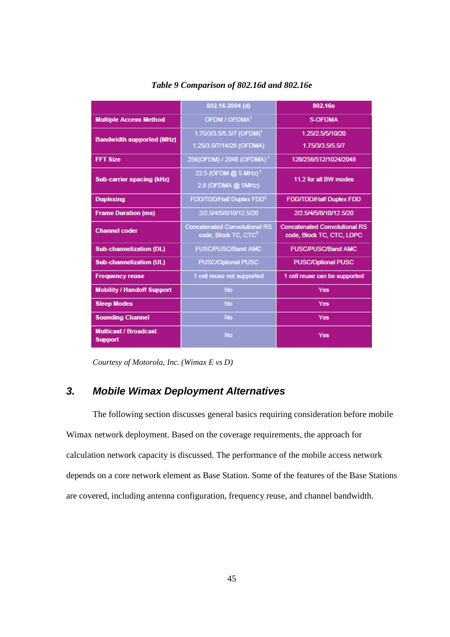|                                                | 802.16-2004 (d)                                                          | 802.16e                                                           |
|------------------------------------------------|--------------------------------------------------------------------------|-------------------------------------------------------------------|
| <b>Multiple Access Method</b>                  | OFDM / OFDMA <sup>1</sup>                                                | <b>S-OFDMA</b>                                                    |
| <b>Bandwidth supported (MHz)</b>               | 1.75/3/3.5/5.5/7 (OFDM) <sup>1</sup><br>1.25/3.5/7/14/28 (OFDMA)         | 1.25/2.5/5/10/20<br>1.75/3/3.5/5.5/7                              |
| <b>FFT Size</b>                                | 256(OFDM) / 2048 (OFDMA) <sup>1</sup>                                    | 128/256/512/1024/2048                                             |
| <b>Sub-carrier spacing (kHz)</b>               | 22.5 (OFDM @ 5 MHz) <sup>1</sup><br>2.8 (OFDMA @ 5MHz)                   | 11.2 for all BW modes                                             |
| <b>Duplexing</b>                               | FDD/TDD/Half Duplex FDD <sup>2</sup>                                     | <b>FDD/TDD/Half Duplex FDD</b>                                    |
| <b>Frame Duration (ms)</b>                     | 2/2.5/4/5/8/10/12.5/20                                                   | 2/2.5/4/5/8/10/12.5/20                                            |
| <b>Channel coder</b>                           | <b>Concatenated Convolutional RS</b><br>code, Block TC, CTC <sup>3</sup> | <b>Concatenated Convolutional RS</b><br>code, Block TC, CTC, LDPC |
| <b>Sub-channelization (DL)</b>                 | <b>FUSC/PUSC/Band AMC</b>                                                | <b>FUSC/PUSC/Band AMC</b>                                         |
| <b>Sub-channelization (UL)</b>                 | <b>PUSC/Optional PUSC</b>                                                | <b>PUSC/Optional PUSC</b>                                         |
| <b>Frequency reuse</b>                         | 1 cell reuse not supported                                               | 1 cell reuse can be supported                                     |
| <b>Mobility / Handoff Support</b>              | <b>No</b>                                                                | <b>Yes</b>                                                        |
| <b>Sleep Modes</b>                             | <b>No</b>                                                                | Yes                                                               |
| <b>Sounding Channel</b>                        | <b>No</b>                                                                | <b>Yes</b>                                                        |
| <b>Multicast / Broadcast</b><br><b>Support</b> | <b>No</b>                                                                | <b>Yes</b>                                                        |

*Table 9 Comparison of 802.16d and 802.16e* 

*Courtesy of Motorola, Inc. (Wimax E vs D)* 

# **3. Mobile Wimax Deployment Alternatives**

The following section discusses general basics requiring consideration before mobile Wimax network deployment. Based on the coverage requirements, the approach for calculation network capacity is discussed. The performance of the mobile access network depends on a core network element as Base Station. Some of the features of the Base Stations are covered, including antenna configuration, frequency reuse, and channel bandwidth.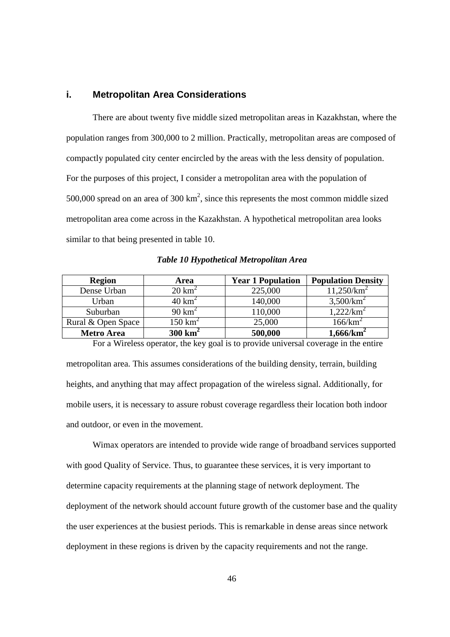#### **i. Metropolitan Area Considerations**

There are about twenty five middle sized metropolitan areas in Kazakhstan, where the population ranges from 300,000 to 2 million. Practically, metropolitan areas are composed of compactly populated city center encircled by the areas with the less density of population. For the purposes of this project, I consider a metropolitan area with the population of 500,000 spread on an area of 300  $km^2$ , since this represents the most common middle sized metropolitan area come across in the Kazakhstan. A hypothetical metropolitan area looks similar to that being presented in table 10.

| <b>Region</b>      | Area               | <b>Year 1 Population</b> | <b>Population Density</b> |
|--------------------|--------------------|--------------------------|---------------------------|
| Dense Urban        | $20 \text{ km}^2$  | 225,000                  | 11,250/km <sup>2</sup>    |
| Urban              | $40 \text{ km}^2$  | 140,000                  | 3,500/km <sup>2</sup>     |
| Suburban           | $90 \text{ km}^2$  | 110,000                  | 1,222/km <sup>2</sup>     |
| Rural & Open Space | $150~{\rm km}^2$   | 25,000                   | 166/km <sup>2</sup>       |
| <b>Metro Area</b>  | $300 \text{ km}^2$ | 500,000                  | 1,666/km <sup>2</sup>     |

*Table 10 Hypothetical Metropolitan Area* 

For a Wireless operator, the key goal is to provide universal coverage in the entire metropolitan area. This assumes considerations of the building density, terrain, building heights, and anything that may affect propagation of the wireless signal. Additionally, for mobile users, it is necessary to assure robust coverage regardless their location both indoor and outdoor, or even in the movement.

Wimax operators are intended to provide wide range of broadband services supported with good Quality of Service. Thus, to guarantee these services, it is very important to determine capacity requirements at the planning stage of network deployment. The deployment of the network should account future growth of the customer base and the quality the user experiences at the busiest periods. This is remarkable in dense areas since network deployment in these regions is driven by the capacity requirements and not the range.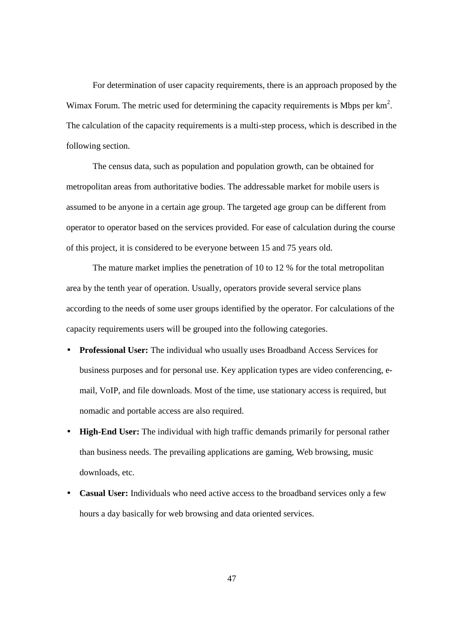For determination of user capacity requirements, there is an approach proposed by the Wimax Forum. The metric used for determining the capacity requirements is Mbps per  $km<sup>2</sup>$ . The calculation of the capacity requirements is a multi-step process, which is described in the following section.

The census data, such as population and population growth, can be obtained for metropolitan areas from authoritative bodies. The addressable market for mobile users is assumed to be anyone in a certain age group. The targeted age group can be different from operator to operator based on the services provided. For ease of calculation during the course of this project, it is considered to be everyone between 15 and 75 years old.

The mature market implies the penetration of 10 to 12 % for the total metropolitan area by the tenth year of operation. Usually, operators provide several service plans according to the needs of some user groups identified by the operator. For calculations of the capacity requirements users will be grouped into the following categories.

- **Professional User:** The individual who usually uses Broadband Access Services for business purposes and for personal use. Key application types are video conferencing, email, VoIP, and file downloads. Most of the time, use stationary access is required, but nomadic and portable access are also required.
- **High-End User:** The individual with high traffic demands primarily for personal rather than business needs. The prevailing applications are gaming, Web browsing, music downloads, etc.
- **Casual User:** Individuals who need active access to the broadband services only a few hours a day basically for web browsing and data oriented services.

47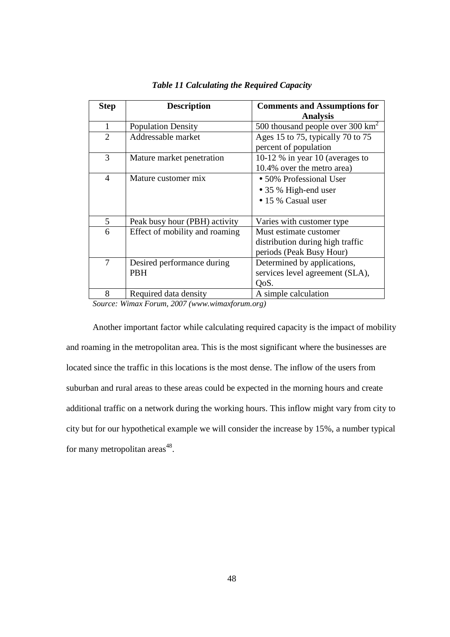| <b>Step</b>    | <b>Description</b>                       | <b>Comments and Assumptions for</b><br><b>Analysis</b>                                 |
|----------------|------------------------------------------|----------------------------------------------------------------------------------------|
| $\mathbf{1}$   | <b>Population Density</b>                | 500 thousand people over 300 $\text{km}^2$                                             |
| $\overline{2}$ | Addressable market                       | Ages 15 to 75, typically 70 to 75<br>percent of population                             |
| 3              | Mature market penetration                | 10-12 % in year 10 (averages to<br>10.4% over the metro area)                          |
| $\overline{4}$ | Mature customer mix                      | • 50% Professional User<br>• 35 % High-end user<br>• 15 % Casual user                  |
| 5              | Peak busy hour (PBH) activity            | Varies with customer type                                                              |
| 6              | Effect of mobility and roaming           | Must estimate customer<br>distribution during high traffic<br>periods (Peak Busy Hour) |
| 7              | Desired performance during<br><b>PBH</b> | Determined by applications,<br>services level agreement (SLA),<br>QoS.                 |
| 8              | Required data density                    | A simple calculation                                                                   |

#### *Table 11 Calculating the Required Capacity*

*Source: Wimax Forum, 2007 (www.wimaxforum.org)* 

Another important factor while calculating required capacity is the impact of mobility and roaming in the metropolitan area. This is the most significant where the businesses are located since the traffic in this locations is the most dense. The inflow of the users from suburban and rural areas to these areas could be expected in the morning hours and create additional traffic on a network during the working hours. This inflow might vary from city to city but for our hypothetical example we will consider the increase by 15%, a number typical for many metropolitan areas<sup>48</sup>.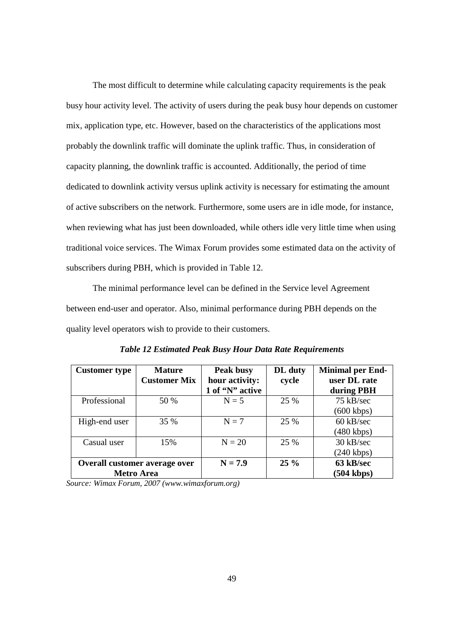The most difficult to determine while calculating capacity requirements is the peak busy hour activity level. The activity of users during the peak busy hour depends on customer mix, application type, etc. However, based on the characteristics of the applications most probably the downlink traffic will dominate the uplink traffic. Thus, in consideration of capacity planning, the downlink traffic is accounted. Additionally, the period of time dedicated to downlink activity versus uplink activity is necessary for estimating the amount of active subscribers on the network. Furthermore, some users are in idle mode, for instance, when reviewing what has just been downloaded, while others idle very little time when using traditional voice services. The Wimax Forum provides some estimated data on the activity of subscribers during PBH, which is provided in Table 12.

The minimal performance level can be defined in the Service level Agreement between end-user and operator. Also, minimal performance during PBH depends on the quality level operators wish to provide to their customers.

| <b>Customer type</b>                               | <b>Mature</b><br><b>Customer Mix</b> | Peak busy<br>hour activity:<br>1 of "N" active | DL duty<br>cycle | <b>Minimal per End-</b><br>user DL rate<br>during PBH |
|----------------------------------------------------|--------------------------------------|------------------------------------------------|------------------|-------------------------------------------------------|
| Professional                                       | 50 %                                 | $N = 5$                                        | 25 %             | 75 kB/sec<br>$(600 \text{ kbps})$                     |
| High-end user                                      | 35 %                                 | $N = 7$                                        | 25 %             | $60 \text{ kB/sec}$<br>$(480 \text{ kbps})$           |
| Casual user                                        | 15%                                  | $N = 20$                                       | 25 %             | $30$ kB/sec<br>$(240 \text{ kbps})$                   |
| Overall customer average over<br><b>Metro Area</b> |                                      | $N = 7.9$                                      | $25\%$           | 63 kB/sec<br>$(504 \text{ kbps})$                     |

*Table 12 Estimated Peak Busy Hour Data Rate Requirements* 

*Source: Wimax Forum, 2007 (www.wimaxforum.org)*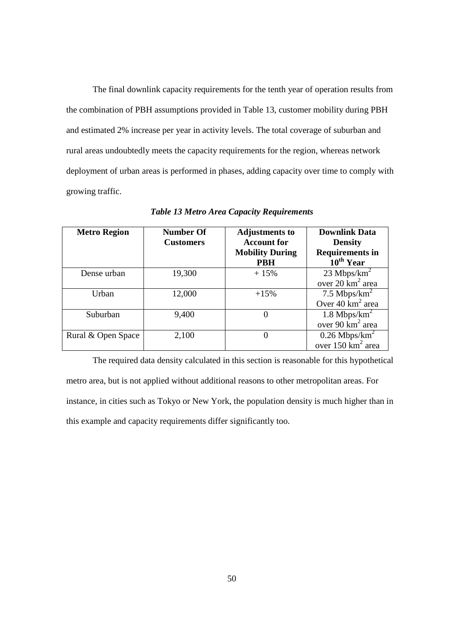The final downlink capacity requirements for the tenth year of operation results from the combination of PBH assumptions provided in Table 13, customer mobility during PBH and estimated 2% increase per year in activity levels. The total coverage of suburban and rural areas undoubtedly meets the capacity requirements for the region, whereas network deployment of urban areas is performed in phases, adding capacity over time to comply with growing traffic.

| <b>Metro Region</b> | <b>Number Of</b> | <b>Adjustments to</b>  | <b>Downlink Data</b>          |
|---------------------|------------------|------------------------|-------------------------------|
|                     | <b>Customers</b> | <b>Account for</b>     | <b>Density</b>                |
|                     |                  | <b>Mobility During</b> | <b>Requirements in</b>        |
|                     |                  | <b>PBH</b>             | 10 <sup>th</sup> Year         |
| Dense urban         | 19,300           | $+15%$                 | 23 Mbps/ $km^2$               |
|                     |                  |                        | over 20 km <sup>2</sup> area  |
| Urban               | 12,000           | $+15%$                 | 7.5 Mbps/ $km^2$              |
|                     |                  |                        | Over $40 \text{ km}^2$ area   |
| Suburban            | 9,400            |                        | 1.8 Mbps/ $km^2$              |
|                     |                  |                        | over 90 km <sup>2</sup> area  |
| Rural & Open Space  | 2,100            | $\theta$               | $0.26$ Mbps/km <sup>2</sup>   |
|                     |                  |                        | over 150 km <sup>2</sup> area |

*Table 13 Metro Area Capacity Requirements* 

The required data density calculated in this section is reasonable for this hypothetical metro area, but is not applied without additional reasons to other metropolitan areas. For instance, in cities such as Tokyo or New York, the population density is much higher than in this example and capacity requirements differ significantly too.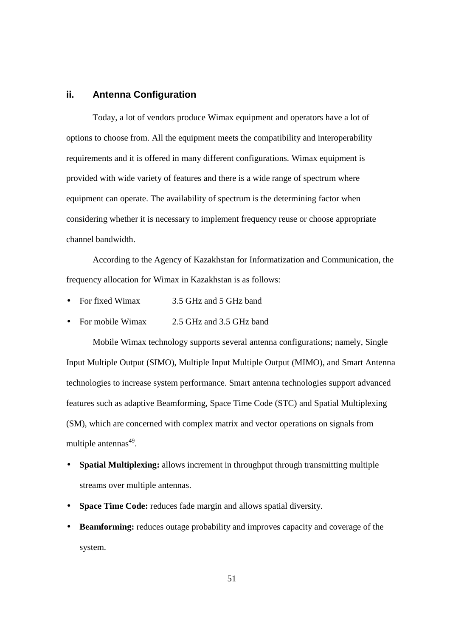# **ii. Antenna Configuration**

Today, a lot of vendors produce Wimax equipment and operators have a lot of options to choose from. All the equipment meets the compatibility and interoperability requirements and it is offered in many different configurations. Wimax equipment is provided with wide variety of features and there is a wide range of spectrum where equipment can operate. The availability of spectrum is the determining factor when considering whether it is necessary to implement frequency reuse or choose appropriate channel bandwidth.

According to the Agency of Kazakhstan for Informatization and Communication, the frequency allocation for Wimax in Kazakhstan is as follows:

- For fixed Wimax 3.5 GHz and 5 GHz band
- For mobile Wimax 2.5 GHz and 3.5 GHz band

Mobile Wimax technology supports several antenna configurations; namely, Single Input Multiple Output (SIMO), Multiple Input Multiple Output (MIMO), and Smart Antenna technologies to increase system performance. Smart antenna technologies support advanced features such as adaptive Beamforming, Space Time Code (STC) and Spatial Multiplexing (SM), which are concerned with complex matrix and vector operations on signals from multiple antennas<sup>49</sup>.

- **Spatial Multiplexing:** allows increment in throughput through transmitting multiple streams over multiple antennas.
- **Space Time Code:** reduces fade margin and allows spatial diversity.
- **Beamforming:** reduces outage probability and improves capacity and coverage of the system.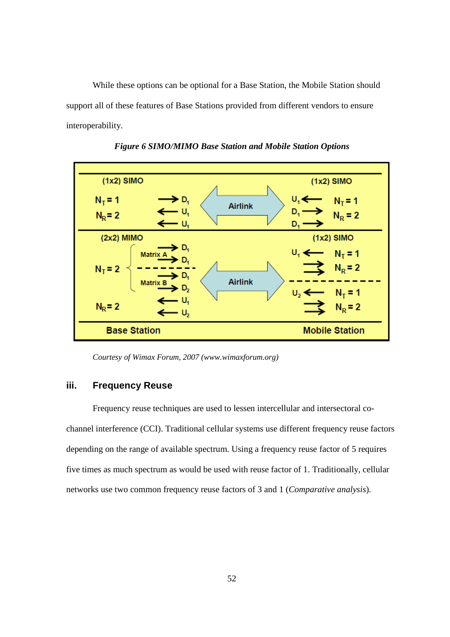While these options can be optional for a Base Station, the Mobile Station should support all of these features of Base Stations provided from different vendors to ensure interoperability.



*Figure 6 SIMO/MIMO Base Station and Mobile Station Options* 

*Courtesy of Wimax Forum, 2007 (www.wimaxforum.org)* 

# **iii. Frequency Reuse**

Frequency reuse techniques are used to lessen intercellular and intersectoral cochannel interference (CCI). Traditional cellular systems use different frequency reuse factors depending on the range of available spectrum. Using a frequency reuse factor of 5 requires five times as much spectrum as would be used with reuse factor of 1. Traditionally, cellular networks use two common frequency reuse factors of 3 and 1 (*Comparative analysis*).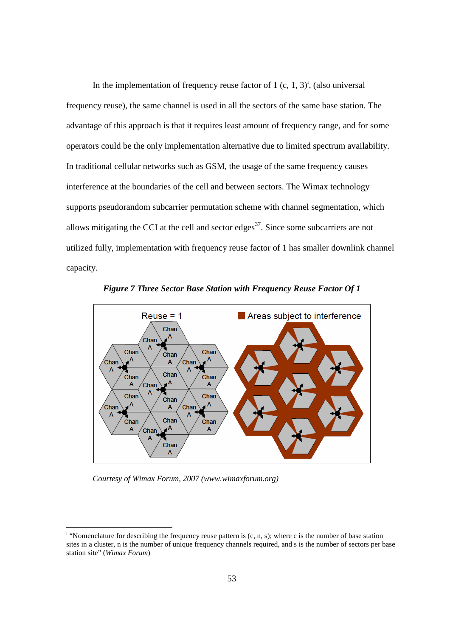In the implementation of frequency reuse factor of 1 (c, 1, 3)<sup>i</sup>, (also universal frequency reuse), the same channel is used in all the sectors of the same base station. The advantage of this approach is that it requires least amount of frequency range, and for some operators could be the only implementation alternative due to limited spectrum availability. In traditional cellular networks such as GSM, the usage of the same frequency causes interference at the boundaries of the cell and between sectors. The Wimax technology supports pseudorandom subcarrier permutation scheme with channel segmentation, which allows mitigating the CCI at the cell and sector edges<sup>37</sup>. Since some subcarriers are not utilized fully, implementation with frequency reuse factor of 1 has smaller downlink channel capacity.



*Figure 7 Three Sector Base Station with Frequency Reuse Factor Of 1* 

*Courtesy of Wimax Forum, 2007 (www.wimaxforum.org)*

-

 $\mathbf i$  "Nomenclature for describing the frequency reuse pattern is  $(c, n, s)$ ; where c is the number of base station sites in a cluster, n is the number of unique frequency channels required, and s is the number of sectors per base station site" (*Wimax Forum*)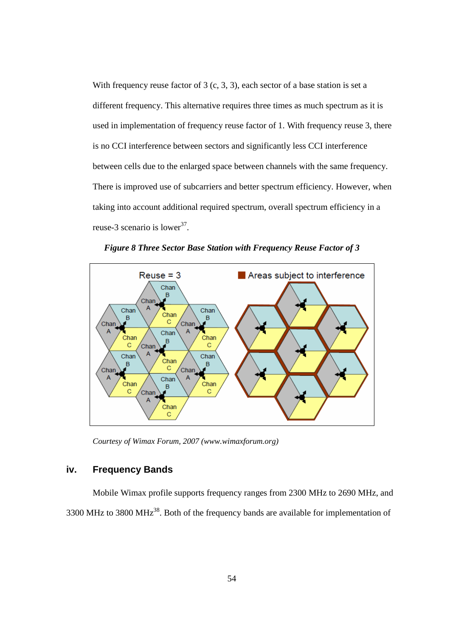With frequency reuse factor of  $3$  (c,  $3$ ,  $3$ ), each sector of a base station is set a different frequency. This alternative requires three times as much spectrum as it is used in implementation of frequency reuse factor of 1. With frequency reuse 3, there is no CCI interference between sectors and significantly less CCI interference between cells due to the enlarged space between channels with the same frequency. There is improved use of subcarriers and better spectrum efficiency. However, when taking into account additional required spectrum, overall spectrum efficiency in a reuse-3 scenario is lower<sup>37</sup>.



*Figure 8 Three Sector Base Station with Frequency Reuse Factor of 3* 

*Courtesy of Wimax Forum, 2007 (www.wimaxforum.org)*

# **iv. Frequency Bands**

 Mobile Wimax profile supports frequency ranges from 2300 MHz to 2690 MHz, and 3300 MHz to 3800 MHz<sup>38</sup>. Both of the frequency bands are available for implementation of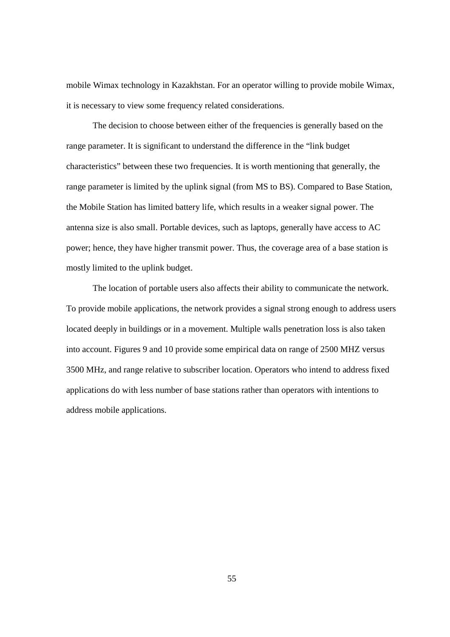mobile Wimax technology in Kazakhstan. For an operator willing to provide mobile Wimax, it is necessary to view some frequency related considerations.

 The decision to choose between either of the frequencies is generally based on the range parameter. It is significant to understand the difference in the "link budget characteristics" between these two frequencies. It is worth mentioning that generally, the range parameter is limited by the uplink signal (from MS to BS). Compared to Base Station, the Mobile Station has limited battery life, which results in a weaker signal power. The antenna size is also small. Portable devices, such as laptops, generally have access to AC power; hence, they have higher transmit power. Thus, the coverage area of a base station is mostly limited to the uplink budget.

 The location of portable users also affects their ability to communicate the network. To provide mobile applications, the network provides a signal strong enough to address users located deeply in buildings or in a movement. Multiple walls penetration loss is also taken into account. Figures 9 and 10 provide some empirical data on range of 2500 MHZ versus 3500 MHz, and range relative to subscriber location. Operators who intend to address fixed applications do with less number of base stations rather than operators with intentions to address mobile applications.

55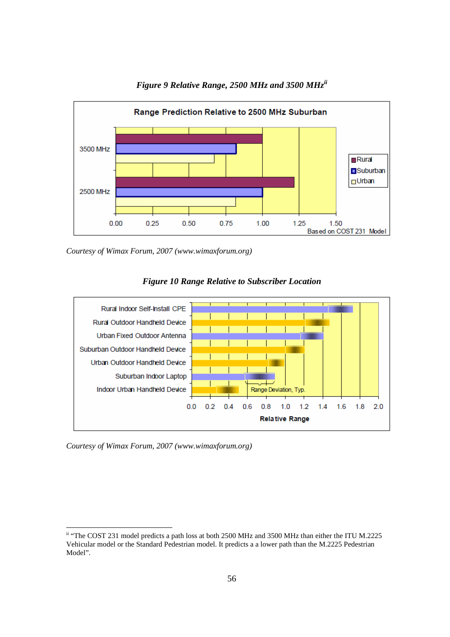

*Figure 9 Relative Range, 2500 MHz and 3500 MHzii*

*Courtesy of Wimax Forum, 2007 (www.wimaxforum.org)*



# *Figure 10 Range Relative to Subscriber Location*

*Courtesy of Wimax Forum, 2007 (www.wimaxforum.org)*

-

<sup>&</sup>lt;sup>ii</sup> "The COST 231 model predicts a path loss at both 2500 MHz and 3500 MHz than either the ITU M.2225 Vehicular model or the Standard Pedestrian model. It predicts a a lower path than the M.2225 Pedestrian Model".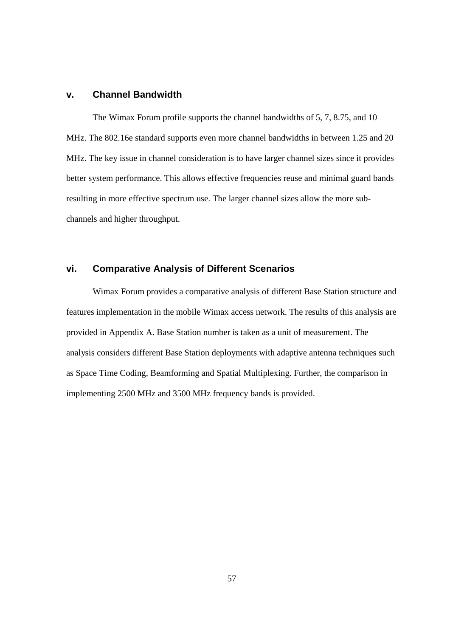#### **v. Channel Bandwidth**

 The Wimax Forum profile supports the channel bandwidths of 5, 7, 8.75, and 10 MHz. The 802.16e standard supports even more channel bandwidths in between 1.25 and 20 MHz. The key issue in channel consideration is to have larger channel sizes since it provides better system performance. This allows effective frequencies reuse and minimal guard bands resulting in more effective spectrum use. The larger channel sizes allow the more subchannels and higher throughput.

# **vi. Comparative Analysis of Different Scenarios**

 Wimax Forum provides a comparative analysis of different Base Station structure and features implementation in the mobile Wimax access network. The results of this analysis are provided in Appendix A. Base Station number is taken as a unit of measurement. The analysis considers different Base Station deployments with adaptive antenna techniques such as Space Time Coding, Beamforming and Spatial Multiplexing. Further, the comparison in implementing 2500 MHz and 3500 MHz frequency bands is provided.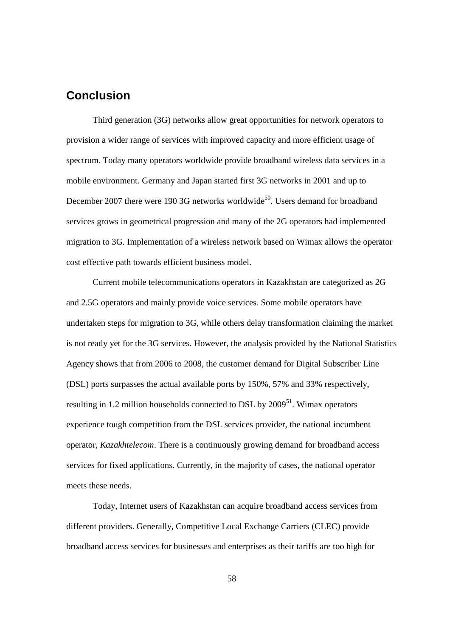# **Conclusion**

Third generation (3G) networks allow great opportunities for network operators to provision a wider range of services with improved capacity and more efficient usage of spectrum. Today many operators worldwide provide broadband wireless data services in a mobile environment. Germany and Japan started first 3G networks in 2001 and up to December 2007 there were 190 3G networks worldwide<sup>50</sup>. Users demand for broadband services grows in geometrical progression and many of the 2G operators had implemented migration to 3G. Implementation of a wireless network based on Wimax allows the operator cost effective path towards efficient business model.

Current mobile telecommunications operators in Kazakhstan are categorized as 2G and 2.5G operators and mainly provide voice services. Some mobile operators have undertaken steps for migration to 3G, while others delay transformation claiming the market is not ready yet for the 3G services. However, the analysis provided by the National Statistics Agency shows that from 2006 to 2008, the customer demand for Digital Subscriber Line (DSL) ports surpasses the actual available ports by 150%, 57% and 33% respectively, resulting in 1.2 million households connected to DSL by  $2009^{51}$ . Wimax operators experience tough competition from the DSL services provider, the national incumbent operator, *Kazakhtelecom*. There is a continuously growing demand for broadband access services for fixed applications. Currently, in the majority of cases, the national operator meets these needs.

Today, Internet users of Kazakhstan can acquire broadband access services from different providers. Generally, Competitive Local Exchange Carriers (CLEC) provide broadband access services for businesses and enterprises as their tariffs are too high for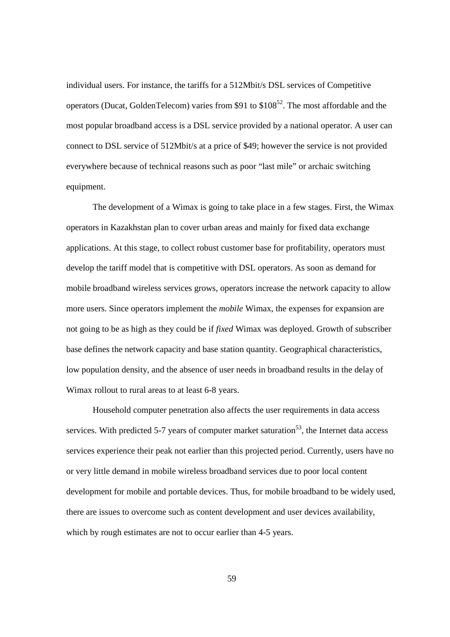individual users. For instance, the tariffs for a 512Mbit/s DSL services of Competitive operators (Ducat, GoldenTelecom) varies from \$91 to  $$108^{52}$ . The most affordable and the most popular broadband access is a DSL service provided by a national operator. A user can connect to DSL service of 512Mbit/s at a price of \$49; however the service is not provided everywhere because of technical reasons such as poor "last mile" or archaic switching equipment.

The development of a Wimax is going to take place in a few stages. First, the Wimax operators in Kazakhstan plan to cover urban areas and mainly for fixed data exchange applications. At this stage, to collect robust customer base for profitability, operators must develop the tariff model that is competitive with DSL operators. As soon as demand for mobile broadband wireless services grows, operators increase the network capacity to allow more users. Since operators implement the *mobile* Wimax, the expenses for expansion are not going to be as high as they could be if *fixed* Wimax was deployed. Growth of subscriber base defines the network capacity and base station quantity. Geographical characteristics, low population density, and the absence of user needs in broadband results in the delay of Wimax rollout to rural areas to at least 6-8 years.

Household computer penetration also affects the user requirements in data access services. With predicted 5-7 years of computer market saturation<sup>53</sup>, the Internet data access services experience their peak not earlier than this projected period. Currently, users have no or very little demand in mobile wireless broadband services due to poor local content development for mobile and portable devices. Thus, for mobile broadband to be widely used, there are issues to overcome such as content development and user devices availability, which by rough estimates are not to occur earlier than 4-5 years.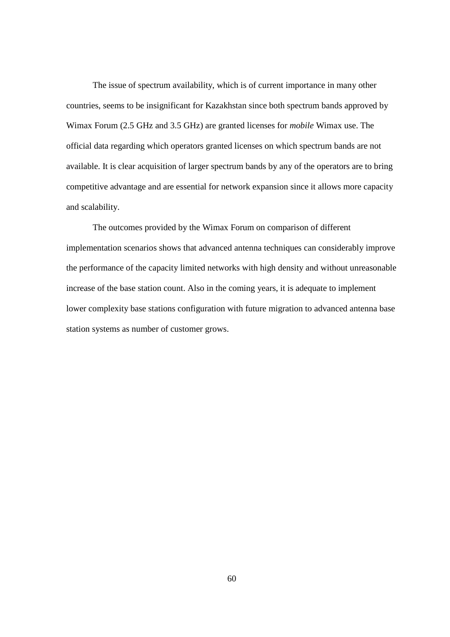The issue of spectrum availability, which is of current importance in many other countries, seems to be insignificant for Kazakhstan since both spectrum bands approved by Wimax Forum (2.5 GHz and 3.5 GHz) are granted licenses for *mobile* Wimax use. The official data regarding which operators granted licenses on which spectrum bands are not available. It is clear acquisition of larger spectrum bands by any of the operators are to bring competitive advantage and are essential for network expansion since it allows more capacity and scalability.

The outcomes provided by the Wimax Forum on comparison of different implementation scenarios shows that advanced antenna techniques can considerably improve the performance of the capacity limited networks with high density and without unreasonable increase of the base station count. Also in the coming years, it is adequate to implement lower complexity base stations configuration with future migration to advanced antenna base station systems as number of customer grows.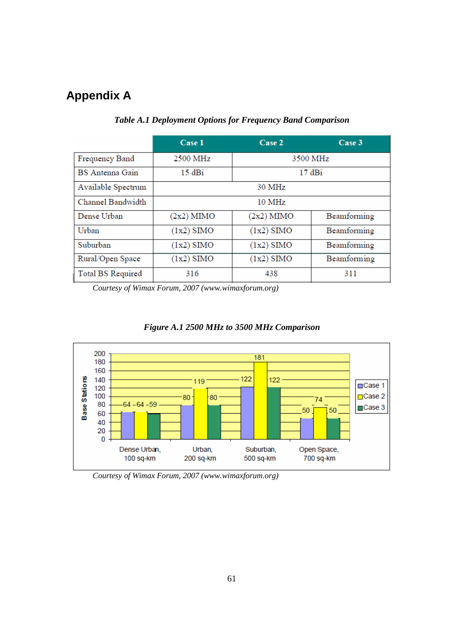# **Appendix A**

|                        | Case 1       | Case 2                      | Case 3 |  |  |  |
|------------------------|--------------|-----------------------------|--------|--|--|--|
| Frequency Band         | 2500 MHz     | 3500 MHz                    |        |  |  |  |
| <b>BS</b> Antenna Gain | 15 dBi       | 17 dBi                      |        |  |  |  |
| Available Spectrum     |              | 30 MHz                      |        |  |  |  |
| Channel Bandwidth      |              | 10 MHz                      |        |  |  |  |
| Dense Urban            | $(2x2)$ MIMO | Beamforming<br>$(2x2)$ MIMO |        |  |  |  |
| Urban                  | $(1x2)$ SIMO | Beamforming<br>$(1x2)$ SIMO |        |  |  |  |
| Suburban               | $(1x2)$ SIMO | Beamforming<br>$(1x2)$ SIMO |        |  |  |  |
| Rural/Open Space       | $(1x2)$ SIMO | Beamforming<br>$(1x2)$ SIMO |        |  |  |  |
| Total BS Required      | 316          | 311<br>438                  |        |  |  |  |

*Table A.1 Deployment Options for Frequency Band Comparison* 

*Courtesy of Wimax Forum, 2007 (www.wimaxforum.org)*





*Courtesy of Wimax Forum, 2007 (www.wimaxforum.org)*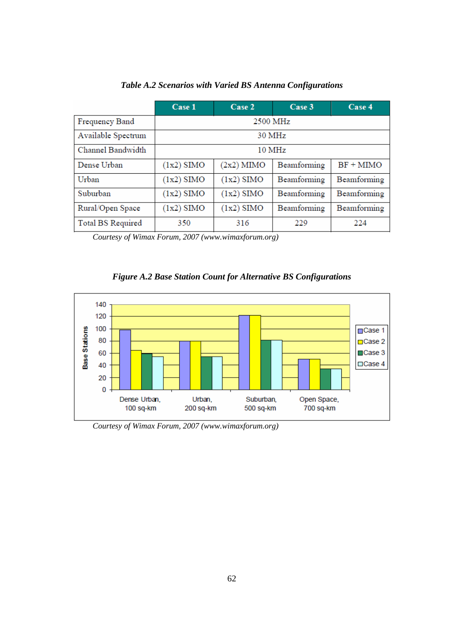|                    | Case 1       | Case 2       | Case 3                     | Case 4      |  |  |  |
|--------------------|--------------|--------------|----------------------------|-------------|--|--|--|
| Frequency Band     | 2500 MHz     |              |                            |             |  |  |  |
| Available Spectrum |              |              | 30 MHz                     |             |  |  |  |
| Channel Bandwidth  |              |              | 10 MHz                     |             |  |  |  |
| Dense Urban        | $(1x2)$ SIMO | $(2x2)$ MIMO | $BF + MIMO$                |             |  |  |  |
| Urban              | $(1x2)$ SIMO | $(1x2)$ SIMO | Beamforming                | Beamforming |  |  |  |
| Suburban           | $(1x2)$ SIMO | $(1x2)$ SIMO | Beamforming<br>Beamforming |             |  |  |  |
| Rural/Open Space   | $(1x2)$ SIMO | $(1x2)$ SIMO | Beamforming                | Beamforming |  |  |  |
| Total BS Required  | 350          | 316          | 229                        | 224         |  |  |  |

*Table A.2 Scenarios with Varied BS Antenna Configurations* 

*Courtesy of Wimax Forum, 2007 (www.wimaxforum.org)*





*Courtesy of Wimax Forum, 2007 (www.wimaxforum.org)*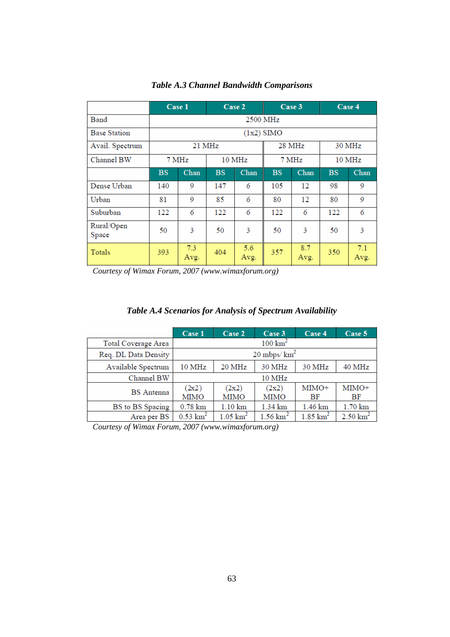|                     | Case 1    |             |           | Case 2      | Case 3       |             | Case 4    |                   |
|---------------------|-----------|-------------|-----------|-------------|--------------|-------------|-----------|-------------------|
| Band                |           | 2500 MHz    |           |             |              |             |           |                   |
| <b>Base Station</b> |           |             |           |             | $(1x2)$ SIMO |             |           |                   |
| Avail. Spectrum     |           | 21 MHz      |           |             |              | 28 MHz      |           | 30 MHz            |
| Channel BW          |           | 7 MHz       |           | 10 MHz      |              | 7 MHz       |           | 10 <sub>MHz</sub> |
|                     | <b>BS</b> | Chan        | <b>BS</b> | Chan        | <b>BS</b>    | Chan        | <b>BS</b> | Chan              |
| Dense Urban         | 140       | 9           | 147       | 6           | 105          | 12          | 98        | 9                 |
| Urban               | 81        | 9           | 85        | 6           | 80           | 12          | 80        | 9                 |
| Suburban            | 122       | 6           | 122       | 6           | 122          | 6           | 122       | 6                 |
| Rural/Open<br>Space | 50        | 3           | 50        | 3           | 50           | 3           | 50        | 3                 |
| Totals              | 393       | 7.3<br>Avg. | 404       | 5.6<br>Avg. | 357          | 8.7<br>Avg. | 350       | 7.1<br>Avg.       |

# *Table A.3 Channel Bandwidth Comparisons*

*Courtesy of Wimax Forum, 2007 (www.wimaxforum.org)*

# *Table A.4 Scenarios for Analysis of Spectrum Availability*

|                      | Case 1                 | Case 2                         | Case 3              | Case 4                 | Case 5              |  |
|----------------------|------------------------|--------------------------------|---------------------|------------------------|---------------------|--|
| Total Coverage Area  | $100 \text{ km}^2$     |                                |                     |                        |                     |  |
| Req. DL Data Density |                        | $20 \text{ mbps}/\text{ km}^2$ |                     |                        |                     |  |
| Available Spectrum   | 10 MHz                 | 20 MHz                         | 30 MHz              | 30 MHz                 | 40 MHz              |  |
| Channel BW           | 10 MHz                 |                                |                     |                        |                     |  |
| <b>BS</b> Antenna    | (2x2)<br>MIMO          | (2x2)<br>MIMO                  | (2x2)<br>MIMO       | MIMO+<br>BF            | $MIMO+$<br>BF       |  |
| BS to BS Spacing     | $0.78$ km              | $1.10 \mathrm{km}$             | $1.34 \mathrm{km}$  | 1.46 km                | $1.70 \mathrm{km}$  |  |
| Area per BS          | $0.53$ km <sup>2</sup> | $1.05$ km <sup>2</sup>         | $1.56 \text{ km}^2$ | $1.85$ km <sup>2</sup> | $2.50 \text{ km}^2$ |  |

*Courtesy of Wimax Forum, 2007 (www.wimaxforum.org)*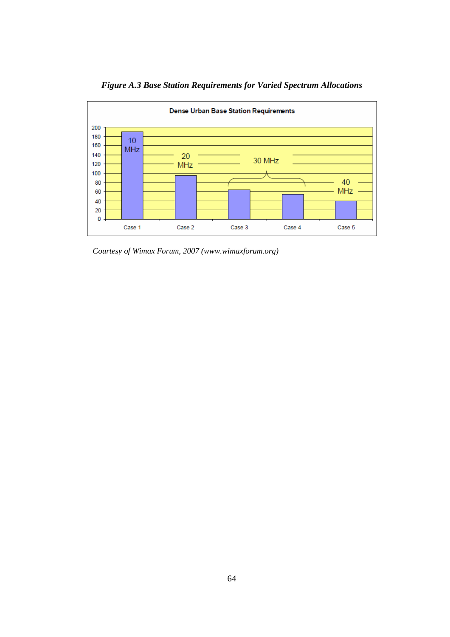

*Figure A.3 Base Station Requirements for Varied Spectrum Allocations* 

*Courtesy of Wimax Forum, 2007 (www.wimaxforum.org)*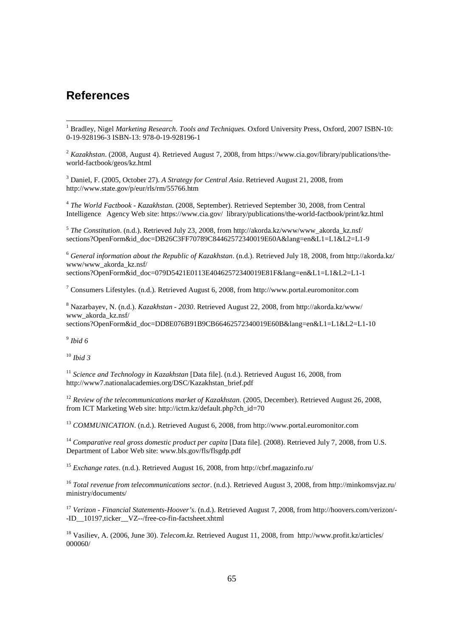# **References**

 1 Bradley, Nigel *Marketing Research. Tools and Techniques.* Oxford University Press, Oxford, 2007 ISBN-10: 0-19-928196-3 ISBN-13: 978-0-19-928196-1

<sup>2</sup> *Kazakhstan*. (2008, August 4). Retrieved August 7, 2008, from https://www.cia.gov/library/publications/theworld-factbook/geos/kz.html

3 Daniel, F. (2005, October 27). *A Strategy for Central Asia*. Retrieved August 21, 2008, from http://www.state.gov/p/eur/rls/rm/55766.htm

4 *The World Factbook - Kazakhstan*. (2008, September). Retrieved September 30, 2008, from Central Intelligence Agency Web site: https://www.cia.gov/ library/publications/the-world-factbook/print/kz.html

<sup>5</sup> The Constitution. (n.d.). Retrieved July 23, 2008, from http://akorda.kz/www/www\_akorda\_kz.nsf/ sections?OpenForm&id\_doc=DB26C3FF70789C84462572340019E60A&lang=en&L1=L1&L2=L1-9

<sup>6</sup> *General information about the Republic of Kazakhstan*. (n.d.). Retrieved July 18, 2008, from http://akorda.kz/ www/www\_akorda\_kz.nsf/ sections?OpenForm&id\_doc=079D5421E0113E40462572340019E81F&lang=en&L1=L1&L2=L1-1

<sup>7</sup> Consumers Lifestyles. (n.d.). Retrieved August 6, 2008, from http://www.portal.euromonitor.com

8 Nazarbayev, N. (n.d.). *Kazakhstan - 2030*. Retrieved August 22, 2008, from http://akorda.kz/www/ www\_akorda\_kz.nsf/ sections?OpenForm&id\_doc=DD8E076B91B9CB66462572340019E60B&lang=en&L1=L1&L2=L1-10

9 *Ibid 6*

<sup>10</sup> *Ibid 3*

<sup>11</sup> Science and Technology in Kazakhstan [Data file]. (n.d.). Retrieved August 16, 2008, from http://www7.nationalacademies.org/DSC/Kazakhstan\_brief.pdf

<sup>12</sup> *Review of the telecommunications market of Kazakhstan*. (2005, December). Retrieved August 26, 2008, from ICT Marketing Web site: http://ictm.kz/default.php?ch\_id=70

<sup>13</sup> *COMMUNICATION*. (n.d.). Retrieved August 6, 2008, from http://www.portal.euromonitor.com

<sup>14</sup> Comparative real gross domestic product per capita [Data file]. (2008). Retrieved July 7, 2008, from U.S. Department of Labor Web site: www.bls.gov/fls/flsgdp.pdf

<sup>15</sup> *Exchange rates*. (n.d.). Retrieved August 16, 2008, from http://cbrf.magazinfo.ru/

<sup>16</sup> *Total revenue from telecommunications sector*. (n.d.). Retrieved August 3, 2008, from http://minkomsvjaz.ru/ ministry/documents/

<sup>17</sup> *Verizon - Financial Statements-Hoover's*. (n.d.). Retrieved August 7, 2008, from http://hoovers.com/verizon/- -ID\_\_10197,ticker\_\_VZ--/free-co-fin-factsheet.xhtml

<sup>18</sup> Vasiliev, A. (2006, June 30). *Telecom.kz*. Retrieved August 11, 2008, from http://www.profit.kz/articles/ 000060/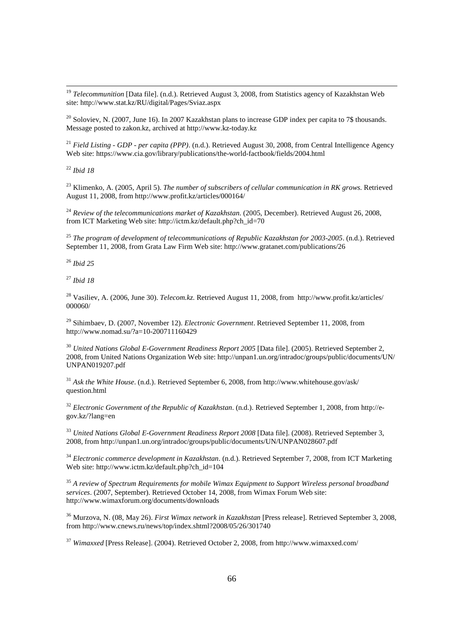<sup>19</sup> *Telecommunition* [Data file]. (n.d.). Retrieved August 3, 2008, from Statistics agency of Kazakhstan Web site: http://www.stat.kz/RU/digital/Pages/Sviaz.aspx

<sup>20</sup> Soloviev, N. (2007, June 16). In 2007 Kazakhstan plans to increase GDP index per capita to 7\$ thousands. Message posted to zakon.kz, archived at http://www.kz-today.kz

<sup>21</sup> *Field Listing - GDP - per capita (PPP)*. (n.d.). Retrieved August 30, 2008, from Central Intelligence Agency Web site: https://www.cia.gov/library/publications/the-world-factbook/fields/2004.html

<sup>22</sup> *Ibid 18*

l

<sup>23</sup> Klimenko, A. (2005, April 5). *The number of subscribers of cellular communication in RK grows*. Retrieved August 11, 2008, from http://www.profit.kz/articles/000164/

<sup>24</sup> *Review of the telecommunications market of Kazakhstan*. (2005, December). Retrieved August 26, 2008, from ICT Marketing Web site: http://ictm.kz/default.php?ch\_id=70

<sup>25</sup> *The program of development of telecommunications of Republic Kazakhstan for 2003-2005*. (n.d.). Retrieved September 11, 2008, from Grata Law Firm Web site: http://www.gratanet.com/publications/26

<sup>26</sup> *Ibid 25*

<sup>27</sup> *Ibid 18* 

<sup>28</sup> Vasiliev, A. (2006, June 30). *Telecom.kz*. Retrieved August 11, 2008, from http://www.profit.kz/articles/ 000060/

<sup>29</sup> Sihimbaev, D. (2007, November 12). *Electronic Government*. Retrieved September 11, 2008, from http://www.nomad.su/?a=10-200711160429

<sup>30</sup> *United Nations Global E-Government Readiness Report 2005* [Data file]. (2005). Retrieved September 2, 2008, from United Nations Organization Web site: http://unpan1.un.org/intradoc/groups/public/documents/UN/ UNPAN019207.pdf

<sup>31</sup> *Ask the White House*. (n.d.). Retrieved September 6, 2008, from http://www.whitehouse.gov/ask/ question.html

<sup>32</sup> *Electronic Government of the Republic of Kazakhstan*. (n.d.). Retrieved September 1, 2008, from http://egov.kz/?lang=en

<sup>33</sup> *United Nations Global E-Government Readiness Report 2008* [Data file]. (2008). Retrieved September 3, 2008, from http://unpan1.un.org/intradoc/groups/public/documents/UN/UNPAN028607.pdf

<sup>34</sup> *Electronic commerce development in Kazakhstan*. (n.d.). Retrieved September 7, 2008, from ICT Marketing Web site: http://www.ictm.kz/default.php?ch\_id=104

<sup>35</sup> *A review of Spectrum Requirements for mobile Wimax Equipment to Support Wireless personal broadband services*. (2007, September). Retrieved October 14, 2008, from Wimax Forum Web site: http://www.wimaxforum.org/documents/downloads

<sup>36</sup> Murzova, N. (08, May 26). *First Wimax network in Kazakhstan* [Press release]. Retrieved September 3, 2008, from http://www.cnews.ru/news/top/index.shtml?2008/05/26/301740

<sup>37</sup> *Wimaxxed* [Press Release]. (2004). Retrieved October 2, 2008, from http://www.wimaxxed.com/